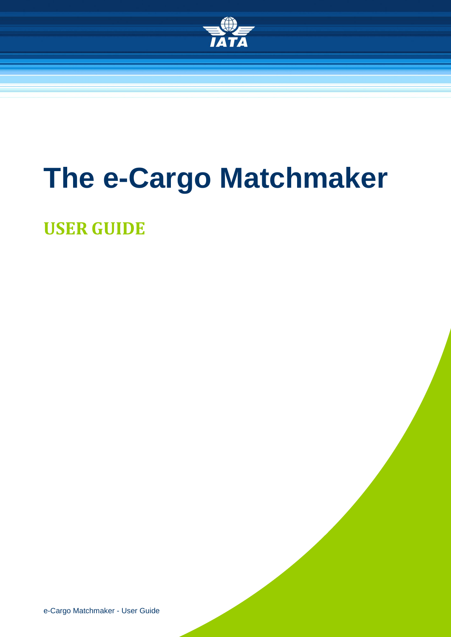

# **The e-Cargo Matchmaker**

**USER GUIDE** 

e-Cargo Matchmaker - User Guide **1/36**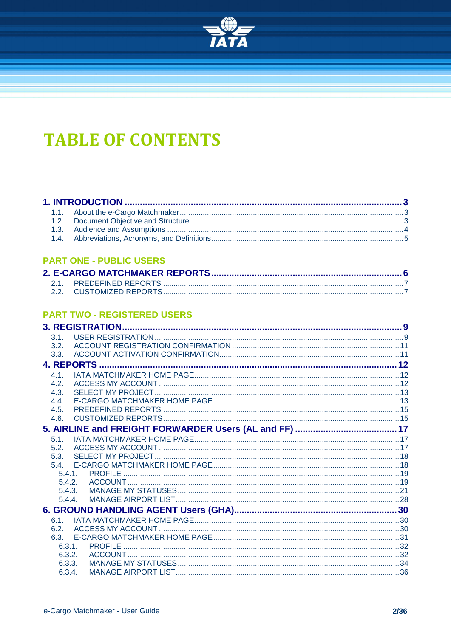

# **TABLE OF CONTENTS**

#### 

#### **PART ONE - PUBLIC USERS**

#### **PART TWO - REGISTERED USERS**

|      | <b>3. REGISTRATION</b> |  |
|------|------------------------|--|
| 3.1. |                        |  |
| 3.2. |                        |  |
| 3.3. |                        |  |
|      |                        |  |
| 41   |                        |  |
| 4.2. |                        |  |
| 4.3. |                        |  |
| 4.4. |                        |  |
| 4.5. |                        |  |
| 4.6. |                        |  |
|      |                        |  |
| 5.1. |                        |  |
| 5.2. |                        |  |
| 5.3. |                        |  |
| 54   |                        |  |
|      | 5.4.1                  |  |
|      | 5.4.2.                 |  |
|      | 5.4.3.                 |  |
|      | 5.4.4.                 |  |
|      |                        |  |
| 61   |                        |  |
| 6.2. |                        |  |
| 6.3. |                        |  |
|      | 6.3.1.                 |  |
|      | 6.3.2.                 |  |
|      | 6.3.3.                 |  |
|      | 6.3.4.                 |  |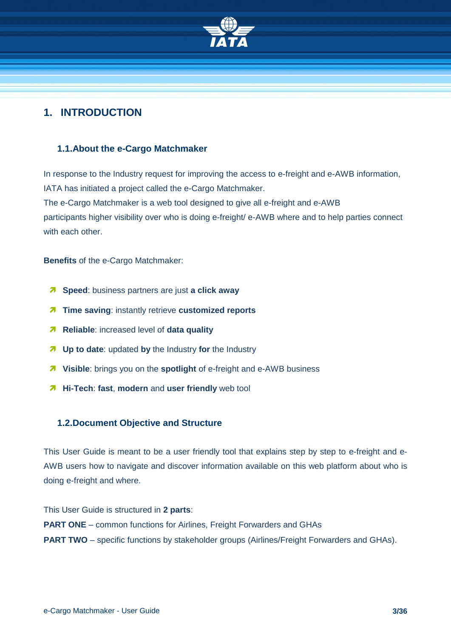

#### <span id="page-2-0"></span>**1. INTRODUCTION**

#### <span id="page-2-1"></span>**1.1.About the e-Cargo Matchmaker**

In response to the Industry request for improving the access to e-freight and e-AWB information, IATA has initiated a project called the e-Cargo Matchmaker. The e-Cargo Matchmaker is a web tool designed to give all e-freight and e-AWB participants higher visibility over who is doing e-freight/ e-AWB where and to help parties connect with each other.

**Benefits** of the e-Cargo Matchmaker:

- **Speed**: business partners are just **a click away**
- $\lambda$  Time saving: instantly retrieve customized reports
- **Reliable**: increased level of **data quality**
- **Up to date**: updated **by** the Industry **for** the Industry
- **Visible**: brings you on the **spotlight** of e-freight and e-AWB business
- **Hi-Tech**: **fast**, **modern** and **user friendly** web tool

#### <span id="page-2-2"></span>**1.2.Document Objective and Structure**

This User Guide is meant to be a user friendly tool that explains step by step to e-freight and e-AWB users how to navigate and discover information available on this web platform about who is doing e-freight and where.

This User Guide is structured in **2 parts**: **PART ONE** – common functions for Airlines, Freight Forwarders and GHAs **PART TWO** – specific functions by stakeholder groups (Airlines/Freight Forwarders and GHAs).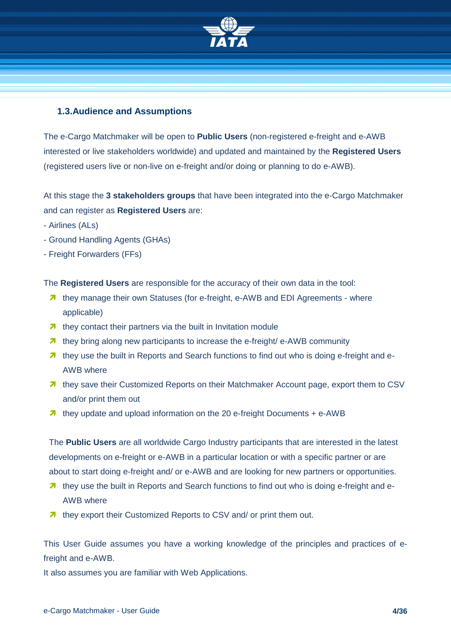

#### <span id="page-3-0"></span>**1.3.Audience and Assumptions**

The e-Cargo Matchmaker will be open to **Public Users** (non-registered e-freight and e-AWB interested or live stakeholders worldwide) and updated and maintained by the **Registered Users** (registered users live or non-live on e-freight and/or doing or planning to do e-AWB).

At this stage the **3 stakeholders groups** that have been integrated into the e-Cargo Matchmaker and can register as **Registered Users** are:

- Airlines (ALs)
- Ground Handling Agents (GHAs)
- Freight Forwarders (FFs)

The **Registered Users** are responsible for the accuracy of their own data in the tool:

- 7 they manage their own Statistics (for e-freeight, e-AWB and EDI Agreements where applicable)
- $\lambda$  they contact their partners via the built in Invitation module
- **7** they bring along new participants to increase the e-freight/ e-AWB community
- **7** they use the built in Reports and Search functions to find out who is doing e-freight and e-AWB where
- 7 they save their Customized Reports on their Matchmaker Account page, export them to CSV and/or print them out
- **1** they update and upload information on the 20 e-freight Documents + e-AWB

The **Public Users** are all worldwide Cargo Industry participants that are interested in the latest developments on e-freight or e-AWB in a particular location or with a specific partner or are about to start doing e-freight and/ or e-AWB and are looking for new partners or opportunities.

- **T** they use the built in Reports and Search functions to find out who is doing e-freight and e-AWB where
- **they export their Customized Reports to CSV and/ or print them out.**

This User Guide assumes you have a working knowledge of the principles and practices of efreight and e-AWB.

It also assumes you are familiar with Web Applications.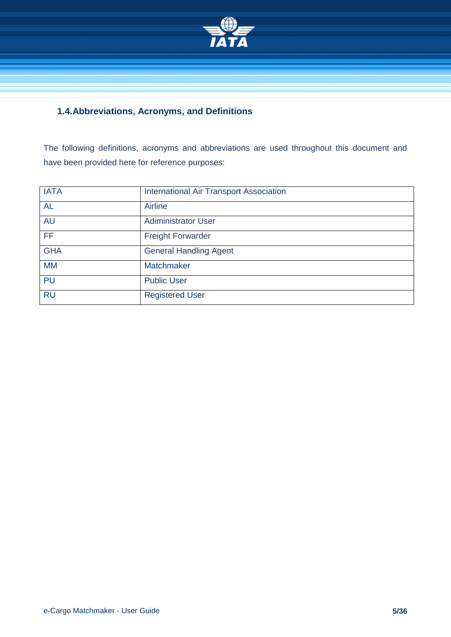

#### <span id="page-4-0"></span>**1.4.Abbreviations, Acronyms, and Definitions**

The following definitions, acronyms and abbreviations are used throughout this document and have been provided here for reference purposes:

| <b>IATA</b>     | <b>International Air Transport Association</b> |
|-----------------|------------------------------------------------|
| <b>AL</b>       | Airline                                        |
| <b>AU</b>       | <b>Adiministrator User</b>                     |
| $\overline{FF}$ | <b>Freight Forwarder</b>                       |
| <b>GHA</b>      | <b>General Handling Agent</b>                  |
| <b>MM</b>       | Matchmaker                                     |
| <b>PU</b>       | <b>Public User</b>                             |
| <b>RU</b>       | <b>Registered User</b>                         |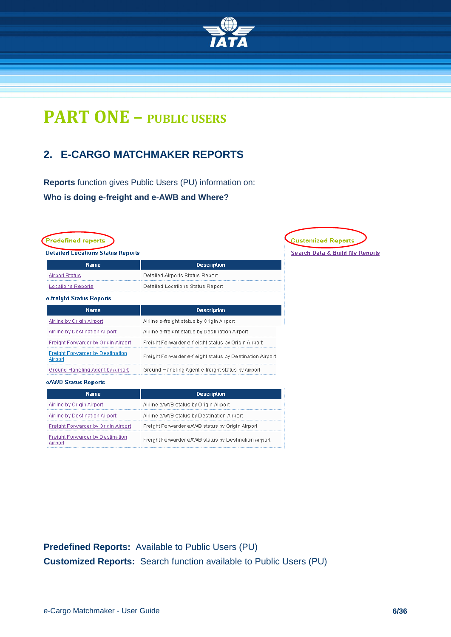

# **PART ONE – PUBLIC USERS**

# <span id="page-5-0"></span>**2. E-CARGO MATCHMAKER REPORTS**

**Reports** function gives Public Users (PU) information on: **Who is doing e-freight and e-AWB and Where?**

| <b>Detailed Locations Status Reports</b>           |                                                           | <b>Search Data &amp; Build My Reports</b> |
|----------------------------------------------------|-----------------------------------------------------------|-------------------------------------------|
| <b>Name</b>                                        | <b>Description</b>                                        |                                           |
| <b>Airport Status</b>                              | Detailed Airports Status Report                           |                                           |
| Locations Reports                                  | Detailed Locations Status Report                          |                                           |
| e-freight Status Reports                           |                                                           |                                           |
| <b>Name</b>                                        | <b>Description</b>                                        |                                           |
| Airline by Origin Airport                          | Airline e-freight status by Origin Airport                |                                           |
| <b>Airline by Destination Airport</b>              | Airline e-freight status by Destination Airport           |                                           |
| Freight Forwarder by Origin Airport                | Freight Forwarder e-freight status by Origin Airport      |                                           |
| <b>Freight Forwarder by Destination</b><br>Airport | Freight Forwarder e-freight status by Destination Airport |                                           |
| Ground Handling Agent by Airport                   | Ground Handling Agent e-freight status by Airport         |                                           |
| eAWB Status Reports                                |                                                           |                                           |
| <b>Name</b>                                        | <b>Description</b>                                        |                                           |
| Airline by Origin Airport                          | Airline eAWB status by Origin Airport                     |                                           |
| Airline by Destination Airport                     | Airline eAWB status by Destination Airport                |                                           |
| <b>Freight Forwarder by Origin Airport</b>         | Freight Forwarder eAWB status by Origin Airport           |                                           |

Freight Forwarder eAWB status by Destination Airport

**Predefined Reports:** Available to Public Users (PU) **Customized Reports:** Search function available to Public Users (PU)

**Freight Forwarder by Destination** 

Airport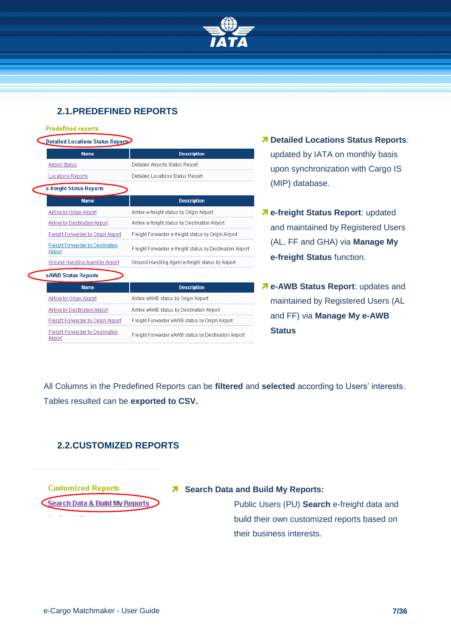

#### <span id="page-6-0"></span>**2.1.PREDEFINED REPORTS**

| <b>Predefined reports</b>                          |                                                           |
|----------------------------------------------------|-----------------------------------------------------------|
| <b>Detailed Locations Status Reports</b>           |                                                           |
| <b>Name</b>                                        | <b>Description</b>                                        |
| <b>Airport Status</b>                              | Detailed Airports Status Report                           |
| <b>Locations Reports</b>                           | Detailed Locations Status Report                          |
| e-freight Status Reports                           |                                                           |
| <b>Name</b>                                        | <b>Description</b>                                        |
| Airline by Origin Airport                          | Airline e-freight status by Origin Airport                |
| <b>Airline by Destination Airport</b>              | Airline e-freight status by Destination Airport           |
| Freight Forwarder by Origin Airport                | Freight Forwarder e-freight status by Origin Airport      |
| <b>Freight Forwarder by Destination</b><br>Airport | Freight Forwarder e-freight status by Destination Airport |
| Ground Handling Agent by Airport                   | Ground Handling Agent e-freight status by Airport         |
| eAWB Status Reports                                |                                                           |
| <b>Name</b>                                        | <b>Description</b>                                        |
| Airline by Origin Airport                          | Airline eAWB status by Origin Airport                     |
| Airline by Destination Airport                     | Airline eAWB status by Destination Airport                |
| Freight Forwarder by Origin Airport                | Freight Forwarder eAWB status by Origin Airport           |
| <b>Freight Forwarder by Destination</b><br>Airnorf | Freight Forwarder eAWB status by Destination Airport      |

- **Detailed Locations Status Reports**: updated by IATA on monthly basis upon synchronization with Cargo IS (MIP) database.
- **e-freight Status Report**: updated and maintained by Registered Users (AL, FF and GHA) via **Manage My e-freight Status** function.
- **e-AWB Status Report**: updates and maintained by Registered Users (AL and FF) via **Manage My e-AWB Status**

All Columns in the Predefined Reports can be **filtered** and **selected** according to Users' interests. Tables resulted can be **exported to CSV.**

#### <span id="page-6-1"></span>**2.2.CUSTOMIZED REPORTS**

**Customized Reports** 

Search Data & Build My Reports

#### **7** Search Data and Build My Reports:

Public Users (PU) **Search** e-freight data and build their own customized reports based on their business interests.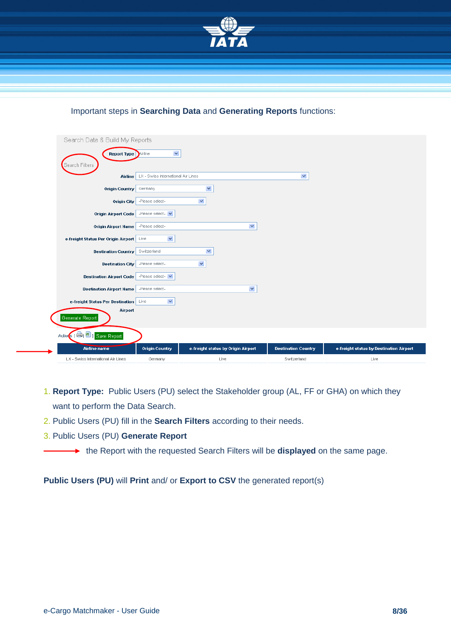

#### Important steps in **Searching Data** and **Generating Reports** functions:

| Search Data & Build My Reports             |                                    |                                    |                            |                                         |
|--------------------------------------------|------------------------------------|------------------------------------|----------------------------|-----------------------------------------|
| <b>Report Type Airline</b>                 | $\blacktriangledown$               |                                    |                            |                                         |
| Search Filters<br>Airline                  | LX - Swiss International Air Lines |                                    | $\checkmark$               |                                         |
| <b>Origin Country</b>                      | Germany                            | $\checkmark$                       |                            |                                         |
| <b>Origin City</b>                         | -Please select-                    | $\checkmark$                       |                            |                                         |
| <b>Origin Airport Code</b>                 | -Please select-                    |                                    |                            |                                         |
| <b>Origin Airport Name</b>                 | -Please select-                    | $\blacktriangledown$               |                            |                                         |
| e-freight Status Per Origin Airport   Live | $\blacktriangledown$               |                                    |                            |                                         |
| <b>Destination Country</b>                 | Switzerland                        | $\checkmark$                       |                            |                                         |
| <b>Destination City</b>                    | -Please select-                    | $\checkmark$                       |                            |                                         |
| <b>Destination Airport Code</b>            | -Please select-                    |                                    |                            |                                         |
| <b>Destination Airport Name</b>            | -Please select-                    | $\blacktriangledown$               |                            |                                         |
| e-freight Status Per Destination Live      | $\checkmark$                       |                                    |                            |                                         |
| Airport<br>Generate Report                 |                                    |                                    |                            |                                         |
| Action : [ B   B   Save Report             |                                    |                                    |                            |                                         |
| <b>Airline name</b>                        | <b>Origin Country</b>              | e-freight status by Origin Airport | <b>Destination Country</b> | e-freight status by Destination Airport |
| LX - Swiss International Air Lines         | Germany                            | Live                               | Switzerland                | Live                                    |

- 1. **Report Type:** Public Users (PU) select the Stakeholder group (AL, FF or GHA) on which they want to perform the Data Search.
- 2. Public Users (PU) fill in the **Search Filters** according to their needs.
- 3. Public Users (PU) **Generate Report**
	- **★** the Report with the requested Search Filters will be **displayed** on the same page.

**Public Users (PU)** will **Print** and/ or **Export to CSV** the generated report(s)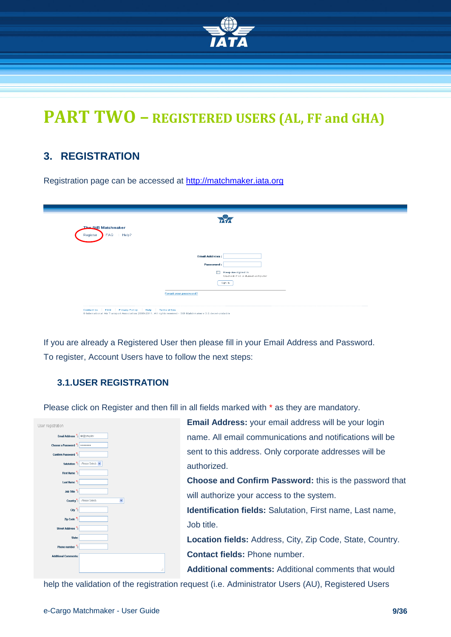

# **PART TWO – REGISTERED USERS (AL, FF and GHA)**

### <span id="page-8-0"></span>**3. REGISTRATION**

Registration page can be accessed at [http://matchmaker.i](http://matchmaker./)ata.org

| <b>The StB Matchmaker</b> |                       |                                                      |
|---------------------------|-----------------------|------------------------------------------------------|
| FAQ : Help?<br>Register   |                       |                                                      |
|                           |                       |                                                      |
|                           | <b>Email Address:</b> |                                                      |
|                           | Password:             |                                                      |
|                           | $\Box$                | Keep me signed in<br>Uncheck if on a shared computer |
|                           |                       | Sign In                                              |
|                           | Forgot your password? |                                                      |
|                           |                       |                                                      |

If you are already a Registered User then please fill in your Email Address and Password. To register, Account Users have to follow the next steps:

#### <span id="page-8-1"></span>**3.1.USER REGISTRATION**

Please click on Register and then fill in all fields marked with \* as they are mandatory.

| User registration                    |                      |
|--------------------------------------|----------------------|
| Email Address *: sir@ymq.dev         |                      |
| Choose a Password *:                 |                      |
| Confirm Password *:                  |                      |
| Salutation <sup>*</sup> :            | -Please Select-      |
| First Name <sup>*</sup> :            |                      |
| Last Name <sup>*</sup> :             |                      |
| Job Title $\overline{\phantom{a}}$ : |                      |
| Country <sup>*</sup> :               | -Please Select-<br>v |
| City <sup>2</sup> :                  |                      |
| Zip Code <sup>*</sup>                |                      |
| Street Address <sup>*</sup> :        |                      |
| State:                               |                      |
| Phone number $\frac{\pi}{2}$ :       |                      |
| <b>Additional Comments:</b>          |                      |
|                                      | d.                   |
|                                      |                      |

**Email Address:** your email address will be your login name. All email communications and notifications will be sent to this address. Only corporate addresses will be authorized.

**Choose and Confirm Password:** this is the password that will authorize your access to the system.

**Identification fields:** Salutation, First name, Last name, Job title.

**Location fields:** Address, City, Zip Code, State, Country. **Contact fields:** Phone number.

**Additional comments:** Additional comments that would

help the validation of the registration request (i.e. Administrator Users (AU), Registered Users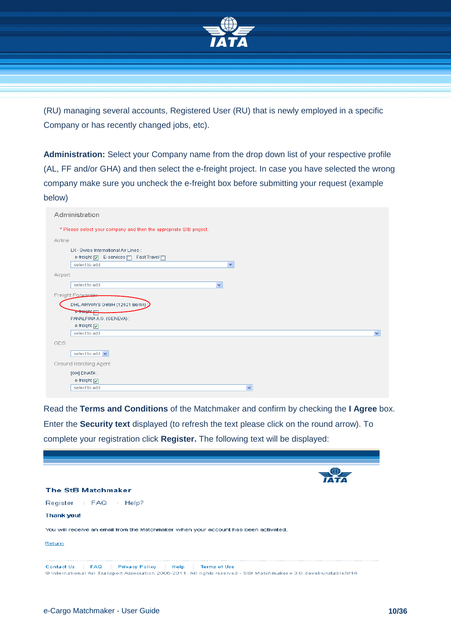

(RU) managing several accounts, Registered User (RU) that is newly employed in a specific Company or has recently changed jobs, etc).

**Administration:** Select your Company name from the drop down list of your respective profile (AL, FF and/or GHA) and then select the e-freight project. In case you have selected the wrong company make sure you uncheck the e-freight box before submitting your request (example below)

| Administration                                                                                                    |
|-------------------------------------------------------------------------------------------------------------------|
| * Please select your company and then the appropriate StB project.                                                |
| Airline                                                                                                           |
| LX - Swiss International Air Lines :<br>e-freight   E-services   Fast Travel    <br>$\checkmark$<br>select to add |
| Airport                                                                                                           |
| select to add<br>$\checkmark$                                                                                     |
| Freight Forwarder                                                                                                 |
| DHL AIRWAYS GMBH (12521 Berlin)                                                                                   |
| <del>e freight <sub>T</sub></del>                                                                                 |
| PANALPINA A.G. (GENEVA) :<br>e-freight                                                                            |
| select to add<br>$\checkmark$                                                                                     |
| GDS                                                                                                               |
| select to add v                                                                                                   |
| Ground Handling Agent                                                                                             |
| [GH] DNATA:                                                                                                       |
| e-freight $\nabla$                                                                                                |
| select to add<br>×                                                                                                |

Read the **Terms and Conditions** of the Matchmaker and confirm by checking the **I Agree** box. Enter the **Security text** displayed (to refresh the text please click on the round arrow). To complete your registration click **Register.** The following text will be displayed:

| The StB Matchmaker                                                                                                                                                          |  |
|-----------------------------------------------------------------------------------------------------------------------------------------------------------------------------|--|
| Register : FAQ : Help?                                                                                                                                                      |  |
| <b>Thank you!</b>                                                                                                                                                           |  |
| You will receive an email from the Matchmaker when your account has been activated.                                                                                         |  |
| Return                                                                                                                                                                      |  |
|                                                                                                                                                                             |  |
| FAQ Privacy Policy (Help (Terms of Use<br>Contact Us<br>@ International Air Transport Association 2006-2011. All rights reserved - StB Matchmaker v 3.0.devel-unstable/sf14 |  |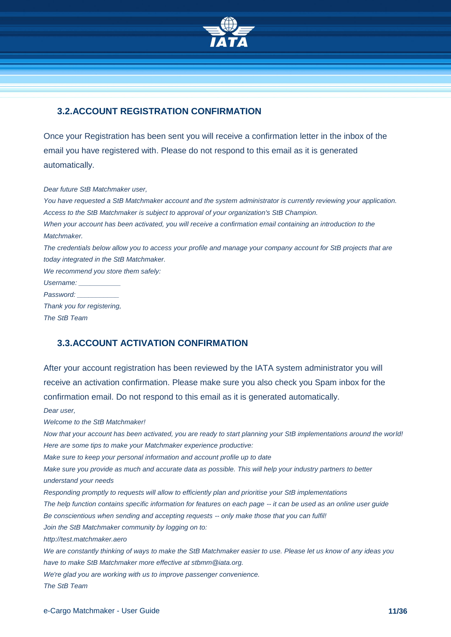

#### <span id="page-10-0"></span>**3.2.ACCOUNT REGISTRATION CONFIRMATION**

Once your Registration has been sent you will receive a confirmation letter in the inbox of the email you have registered with. Please do not respond to this email as it is generated automatically.

*Dear future StB Matchmaker user,*

*You have requested a StB Matchmaker account and the system administrator is currently reviewing your application. Access to the StB Matchmaker is subject to approval of your organization's StB Champion. When your account has been activated, you will receive a confirmation email containing an introduction to the Matchmaker. The credentials below allow you to access your profile and manage your company account for StB projects that are today integrated in the StB Matchmaker. We recommend you store them safely: Username: \_\_\_\_\_\_\_\_\_\_\_ Password: \_\_\_\_\_\_\_\_\_\_\_ Thank you for registering,*

*The StB Team*

#### <span id="page-10-1"></span>**3.3.ACCOUNT ACTIVATION CONFIRMATION**

After your account registration has been reviewed by the IATA system administrator you will receive an activation confirmation. Please make sure you also check you Spam inbox for the confirmation email. Do not respond to this email as it is generated automatically.

*Dear user,*

*Welcome to the StB Matchmaker!*

*Now that your account has been activated, you are ready to start planning your StB implementations around the world! Here are some tips to make your Matchmaker experience productive:*

*Make sure to keep your personal information and account profile up to date*

*Make sure you provide as much and accurate data as possible. This will help your industry partners to better understand your needs*

*Responding promptly to requests will allow to efficiently plan and prioritise your StB implementations*

*The help function contains specific information for features on each page -- it can be used as an online user guide Be conscientious when sending and accepting requests -- only make those that you can fulfil!* 

*Join the StB Matchmaker community by logging on to:*

*http://test.matchmaker.aero*

*We are constantly thinking of ways to make the StB Matchmaker easier to use. Please let us know of any ideas you have to make StB Matchmaker more effective at stbmm@iata.org.* 

*We're glad you are working with us to improve passenger convenience.*

*The StB Team*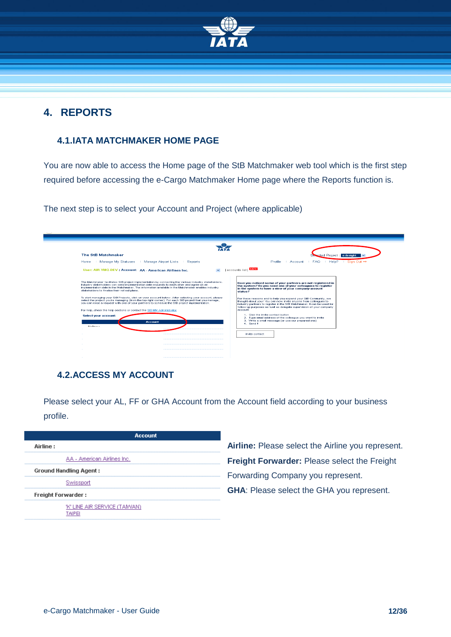

### <span id="page-11-0"></span>**4. REPORTS**

#### <span id="page-11-1"></span>**4.1.IATA MATCHMAKER HOME PAGE**

You are now able to access the Home page of the StB Matchmaker web tool which is the first step required before accessing the e-Cargo Matchmaker Home page where the Reports function is.

The next step is to select your Account and Project (where applicable)

| The StB Matchmaker<br>ected Project : e-freight<br>∴ Account : FAQ : Help? : Sign Out ⇒<br>Home : Manage My Statuses : Manage Airport Lists<br><b>Reports</b><br><b>Profile</b><br>[accounts list] NEW<br>User: AIR YMQ-DEV : Account: AA . American Airlines Inc.<br>$\checkmark$<br>The Matchmaker facilitates StB project implementation by connecting the various industry stakeholders.<br>Have you noticed some of your partners are not registered in<br>Industry stakeholders can send implementation date requests to each other and agree on an<br>the system? Do you need one of your colleagues to register<br>implementation date in the Matchmaker. The information available in the Matchmaker enables industry<br>in the system to have a view of your company account<br>stakeholders to finalise their roll out plans.<br>status?<br>To start managing your StB Projects, click on your account below. After selecting your account, please<br>For these reasons and to help you expand your StB Community, we<br>select the project you're managing (from the top right corner). For each StB project that you manage,<br>thought about you ! You can now invite anyone from colleagues to<br>you can raise a request with one of your partners to schedule the StB project implementation.<br>industry partners to register in the StB Matchmaker, it can be used for<br>follow up purposes as well as delegate supervision of your company<br>account.<br>For help, check the help sections or contact the StB MM Administrator<br>1. Click the Invite contact button<br><b>Select your account:</b><br>2. Type email address of the colleague you want to invite<br>3. Write a small message for use our prepared one).<br><b>Account</b><br>4. Send II<br>Airline :<br>Invite contact: |  |  |  |
|---------------------------------------------------------------------------------------------------------------------------------------------------------------------------------------------------------------------------------------------------------------------------------------------------------------------------------------------------------------------------------------------------------------------------------------------------------------------------------------------------------------------------------------------------------------------------------------------------------------------------------------------------------------------------------------------------------------------------------------------------------------------------------------------------------------------------------------------------------------------------------------------------------------------------------------------------------------------------------------------------------------------------------------------------------------------------------------------------------------------------------------------------------------------------------------------------------------------------------------------------------------------------------------------------------------------------------------------------------------------------------------------------------------------------------------------------------------------------------------------------------------------------------------------------------------------------------------------------------------------------------------------------------------------------------------------------------------------------------------------------------------------------------------------------------------|--|--|--|
|                                                                                                                                                                                                                                                                                                                                                                                                                                                                                                                                                                                                                                                                                                                                                                                                                                                                                                                                                                                                                                                                                                                                                                                                                                                                                                                                                                                                                                                                                                                                                                                                                                                                                                                                                                                                               |  |  |  |
|                                                                                                                                                                                                                                                                                                                                                                                                                                                                                                                                                                                                                                                                                                                                                                                                                                                                                                                                                                                                                                                                                                                                                                                                                                                                                                                                                                                                                                                                                                                                                                                                                                                                                                                                                                                                               |  |  |  |
|                                                                                                                                                                                                                                                                                                                                                                                                                                                                                                                                                                                                                                                                                                                                                                                                                                                                                                                                                                                                                                                                                                                                                                                                                                                                                                                                                                                                                                                                                                                                                                                                                                                                                                                                                                                                               |  |  |  |
|                                                                                                                                                                                                                                                                                                                                                                                                                                                                                                                                                                                                                                                                                                                                                                                                                                                                                                                                                                                                                                                                                                                                                                                                                                                                                                                                                                                                                                                                                                                                                                                                                                                                                                                                                                                                               |  |  |  |
|                                                                                                                                                                                                                                                                                                                                                                                                                                                                                                                                                                                                                                                                                                                                                                                                                                                                                                                                                                                                                                                                                                                                                                                                                                                                                                                                                                                                                                                                                                                                                                                                                                                                                                                                                                                                               |  |  |  |
|                                                                                                                                                                                                                                                                                                                                                                                                                                                                                                                                                                                                                                                                                                                                                                                                                                                                                                                                                                                                                                                                                                                                                                                                                                                                                                                                                                                                                                                                                                                                                                                                                                                                                                                                                                                                               |  |  |  |
|                                                                                                                                                                                                                                                                                                                                                                                                                                                                                                                                                                                                                                                                                                                                                                                                                                                                                                                                                                                                                                                                                                                                                                                                                                                                                                                                                                                                                                                                                                                                                                                                                                                                                                                                                                                                               |  |  |  |
|                                                                                                                                                                                                                                                                                                                                                                                                                                                                                                                                                                                                                                                                                                                                                                                                                                                                                                                                                                                                                                                                                                                                                                                                                                                                                                                                                                                                                                                                                                                                                                                                                                                                                                                                                                                                               |  |  |  |
|                                                                                                                                                                                                                                                                                                                                                                                                                                                                                                                                                                                                                                                                                                                                                                                                                                                                                                                                                                                                                                                                                                                                                                                                                                                                                                                                                                                                                                                                                                                                                                                                                                                                                                                                                                                                               |  |  |  |
|                                                                                                                                                                                                                                                                                                                                                                                                                                                                                                                                                                                                                                                                                                                                                                                                                                                                                                                                                                                                                                                                                                                                                                                                                                                                                                                                                                                                                                                                                                                                                                                                                                                                                                                                                                                                               |  |  |  |
|                                                                                                                                                                                                                                                                                                                                                                                                                                                                                                                                                                                                                                                                                                                                                                                                                                                                                                                                                                                                                                                                                                                                                                                                                                                                                                                                                                                                                                                                                                                                                                                                                                                                                                                                                                                                               |  |  |  |

#### <span id="page-11-2"></span>**4.2.ACCESS MY ACCOUNT**

Please select your AL, FF or GHA Account from the Account field according to your business profile.

| Account                                  |  |
|------------------------------------------|--|
| Airline:                                 |  |
| AA - American Airlines Inc.              |  |
| <b>Ground Handling Agent:</b>            |  |
| Swissport                                |  |
| <b>Freight Forwarder:</b>                |  |
| 'K' LINE AIR SERVICE (TAMVAN).<br>TAIPEI |  |

**Airline:** Please select the Airline you represent. **Freight Forwarder:** Please select the Freight Forwarding Company you represent. **GHA**: Please select the GHA you represent.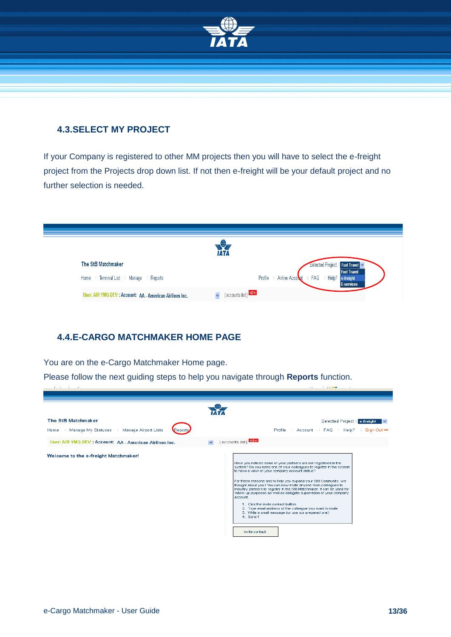

#### <span id="page-12-0"></span>**4.3.SELECT MY PROJECT**

If your Company is registered to other MM projects then you will have to select the e-freight project from the Projects drop down list. If not then e-freight will be your default project and no further selection is needed.



#### <span id="page-12-1"></span>**4.4.E-CARGO MATCHMAKER HOME PAGE**

You are on the e-Cargo Matchmaker Home page.

Please follow the next guiding steps to help you navigate through **Reports** function.

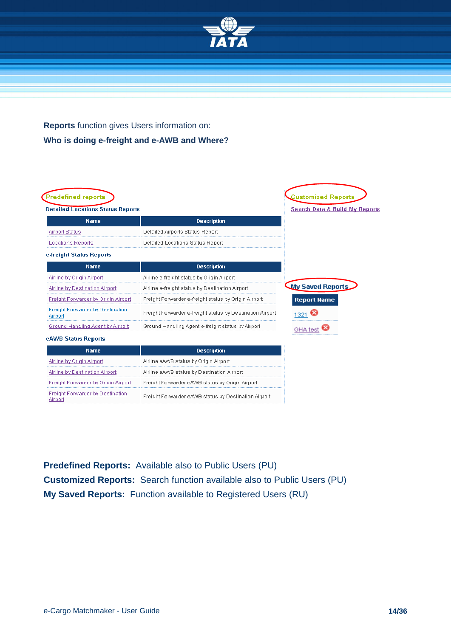

### **Reports** function gives Users information on: **Who is doing e-freight and e-AWB and Where?**

| <b>Detailed Locations Status Reports</b>           |                                                           | <b>Search Data &amp; Build My Reports</b> |
|----------------------------------------------------|-----------------------------------------------------------|-------------------------------------------|
| <b>Name</b>                                        | <b>Description</b>                                        |                                           |
| <b>Airport Status</b>                              | Detailed Airports Status Report                           |                                           |
| <b>Locations Reports</b>                           | Detailed Locations Status Report                          |                                           |
| e-freight Status Reports                           |                                                           |                                           |
| <b>Name</b>                                        | <b>Description</b>                                        |                                           |
| Airline by Origin Airport                          | Airline e-freight status by Origin Airport                |                                           |
| Airline by Destination Airport                     | Airline e-freight status by Destination Airport           | <b>My Saved Reports</b>                   |
| <b>Freight Forwarder by Origin Airport</b>         | Freight Forwarder e-freight status by Origin Airport      | <b>Report Name</b>                        |
| <b>Freight Forwarder by Destination</b><br>Airport | Freight Forwarder e-freight status by Destination Airport | 1321                                      |
| Ground Handling Agent by Airport                   | Ground Handling Agent e-freight status by Airport         | GHA tes                                   |
| eAWB Status Reports                                |                                                           |                                           |
| <b>Name</b>                                        | <b>Description</b>                                        |                                           |
| Airline by Origin Airport                          | Airline eAWB status by Origin Airport                     |                                           |
| Airline by Destination Airport                     | Airline eAWB status by Destination Airport                |                                           |
| Freight Forwarder by Origin Airport                | Freight Forwarder eAWB status by Origin Airport           |                                           |
| <b>Freight Forwarder by Destination</b><br>Airport | Freight Forwarder eAWB status by Destination Airport      |                                           |

**Predefined Reports:** Available also to Public Users (PU) **Customized Reports:** Search function available also to Public Users (PU) **My Saved Reports:** Function available to Registered Users (RU)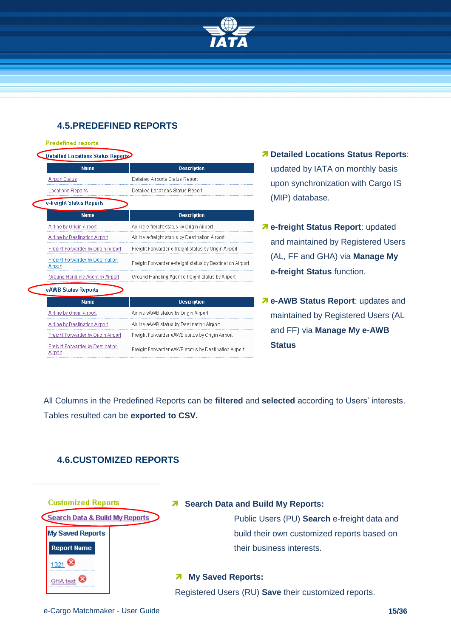

#### <span id="page-14-0"></span>**4.5.PREDEFINED REPORTS**

#### **Predefined reports**

Airport

| Detailed Locations Status Reports |  |
|-----------------------------------|--|
|                                   |  |

| <b>Name</b>                                        | <b>Description</b>                                        |
|----------------------------------------------------|-----------------------------------------------------------|
| <b>Airport Status</b>                              | Detailed Airports Status Report                           |
| Locations Reports                                  | Detailed Locations Status Report                          |
| e-freight Status Reports                           |                                                           |
| <b>Name</b>                                        | <b>Description</b>                                        |
| Airline by Origin Airport                          | Airline e-freight status by Origin Airport                |
| <b>Airline by Destination Airport</b>              | Airline e-freight status by Destination Airport           |
| Freight Forwarder by Origin Airport                | Freight Forwarder e-freight status by Origin Airport      |
| <b>Freight Forwarder by Destination</b><br>Airport | Freight Forwarder e-freight status by Destination Airport |
| Ground Handling Agent by Airport                   | Ground Handling Agent e-freight status by Airport         |
| eAWB Status Reports                                |                                                           |
| <b>Name</b>                                        | <b>Description</b>                                        |
| Airline by Origin Airport                          | Airline eAWB status by Origin Airport                     |
| Airline by Destination Airport                     | Airline eAWB status by Destination Airport                |
| Freight Forwarder by Origin Airport                | Freight Forwarder eAWB status by Origin Airport           |
| <b>Freight Forwarder by Destination</b>            | Freight Enrwarder eAWB status by Destination Airport.     |

- *Detailed Locations Status Reports:* updated by IATA on monthly basis upon synchronization with Cargo IS (MIP) database.
- **e-freight Status Report**: updated and maintained by Registered Users (AL, FF and GHA) via **Manage My e-freight Status** function.
- *A* e-AWB Status Report: updates and maintained by Registered Users (AL and FF) via **Manage My e-AWB Status**

All Columns in the Predefined Reports can be **filtered** and **selected** according to Users' interests. Tables resulted can be **exported to CSV.**

#### <span id="page-14-1"></span>**4.6.CUSTOMIZED REPORTS**



#### **7** Search Data and Build My Reports:

Public Users (PU) **Search** e-freight data and build their own customized reports based on their business interests.

#### **My Saved Reports:**

Registered Users (RU) **Save** their customized reports.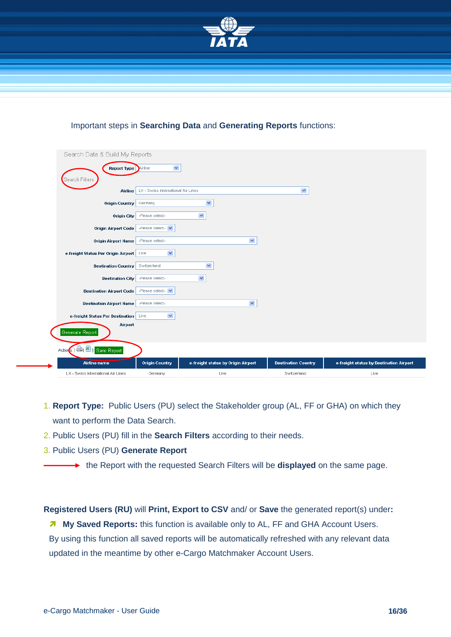

#### Important steps in **Searching Data** and **Generating Reports** functions:

| Search Data & Build My Reports           |                                    |                                    |                            |                                         |
|------------------------------------------|------------------------------------|------------------------------------|----------------------------|-----------------------------------------|
| <b>Report Type</b><br>Search Filters     | $\blacktriangledown$               |                                    |                            |                                         |
| <b>Airline</b>                           | LX - Swiss International Air Lines |                                    | $\checkmark$               |                                         |
| Origin Country                           | Germany                            | $\checkmark$                       |                            |                                         |
| <b>Origin City</b>                       | -Please select-                    | $\checkmark$                       |                            |                                         |
| <b>Origin Airport Code</b>               | -Please select-                    |                                    |                            |                                         |
| <b>Origin Airport Name</b>               | -Please select-                    | $\blacktriangledown$               |                            |                                         |
| e-freight Status Per Origin Airport Live | $\checkmark$                       |                                    |                            |                                         |
| <b>Destination Country</b>               | Switzerland                        | $\checkmark$                       |                            |                                         |
| <b>Destination City</b>                  | -Please select-                    | $\checkmark$                       |                            |                                         |
| <b>Destination Airport Code</b>          | -Please select-                    |                                    |                            |                                         |
| <b>Destination Airport Name</b>          | -Please select-                    | $\blacktriangledown$               |                            |                                         |
| e-freight Status Per Destination Live    | $\checkmark$                       |                                    |                            |                                         |
| Airport<br>Generate Report               |                                    |                                    |                            |                                         |
| Actions: [ B   B   Save Report           |                                    |                                    |                            |                                         |
| <b>Airline name</b>                      | <b>Origin Country</b>              | e-freight status by Origin Airport | <b>Destination Country</b> | e-freight status by Destination Airport |
| LX - Swiss International Air Lines       | Germany                            | Live                               | Switzerland                | Live                                    |

- 1. **Report Type:** Public Users (PU) select the Stakeholder group (AL, FF or GHA) on which they want to perform the Data Search.
- 2. Public Users (PU) fill in the **Search Filters** according to their needs.
- 3. Public Users (PU) **Generate Report**
	- **→** the Report with the requested Search Filters will be **displayed** on the same page.

**Registered Users (RU)** will **Print, Export to CSV** and/ or **Save** the generated report(s) under**:**

**My Saved Reports:** this function is available only to AL, FF and GHA Account Users. By using this function all saved reports will be automatically refreshed with any relevant data updated in the meantime by other e-Cargo Matchmaker Account Users.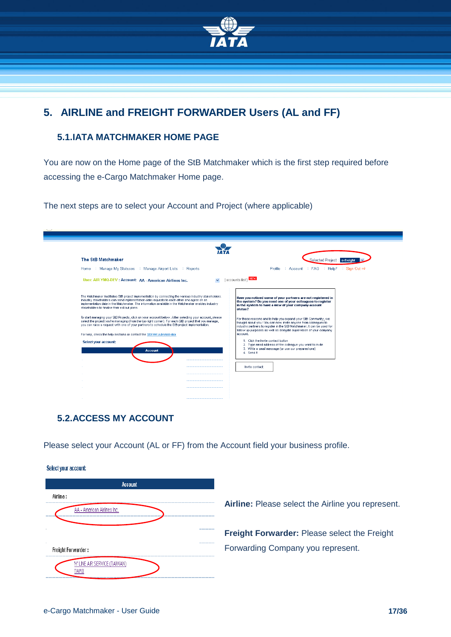

# <span id="page-16-0"></span>**5. AIRLINE and FREIGHT FORWARDER Users (AL and FF)**

#### <span id="page-16-1"></span>**5.1.IATA MATCHMAKER HOME PAGE**

You are now on the Home page of the StB Matchmaker which is the first step required before accessing the e-Cargo Matchmaker Home page.

The next steps are to select your Account and Project (where applicable)

| The StB Matchmaker                                                                                                                                                                                                                                                                                                                                           | Selected Project : e-freight                                                                                                                                                                                                                                                         |
|--------------------------------------------------------------------------------------------------------------------------------------------------------------------------------------------------------------------------------------------------------------------------------------------------------------------------------------------------------------|--------------------------------------------------------------------------------------------------------------------------------------------------------------------------------------------------------------------------------------------------------------------------------------|
| Manage My Statuses<br>Home<br>Manage Airport Lists<br>Reports                                                                                                                                                                                                                                                                                                | Sign Out $\Rightarrow$<br>Profile<br>Account : FAQ : Help?                                                                                                                                                                                                                           |
| User: AIR YMQ-DEV : Account: AA - American Airlines Inc.                                                                                                                                                                                                                                                                                                     | [accounts list] NEW                                                                                                                                                                                                                                                                  |
| The Matchmaker facilitates StB project implementation by connecting the various industry stakeholders.<br>Industry stakeholders can send implementation date requests to each other and agree on an<br>implementation date in the Matchmaker. The information available in the Matchmaker enables industry<br>stakeholders to finalise their roll out plans. | Have you noticed some of your partners are not registered in<br>the system? Do you need one of your colleagues to register<br>in the system to have a view of your company account<br>status?                                                                                        |
| To start managing your StB Projects, click on your account below. After selecting your account, please<br>select the project you're managing (from the top right corner). For each StB project that you manage,<br>you can raise a request with one of your partners to schedule the StB project implementation.                                             | For these reasons and to help you expand your StB Community, we<br>thought about you ! You can now invite anyone from colleagues to<br>industry partners to register in the StB Matchmaker. It can be used for<br>follow up purposes as well as delegate supervision of your company |
| For help, check the help sections or contact the StB MM Administrator                                                                                                                                                                                                                                                                                        | account.                                                                                                                                                                                                                                                                             |
| Select your account:<br><b>Account</b><br><b>COLLEGE</b>                                                                                                                                                                                                                                                                                                     | 1. Click the Invite contact button<br>2. Type email address of the colleague you want to invite<br>3. Write a small message (or use our prepared one)<br>4. Send II                                                                                                                  |
|                                                                                                                                                                                                                                                                                                                                                              | Invite contact:                                                                                                                                                                                                                                                                      |
|                                                                                                                                                                                                                                                                                                                                                              |                                                                                                                                                                                                                                                                                      |
|                                                                                                                                                                                                                                                                                                                                                              |                                                                                                                                                                                                                                                                                      |
|                                                                                                                                                                                                                                                                                                                                                              |                                                                                                                                                                                                                                                                                      |
|                                                                                                                                                                                                                                                                                                                                                              |                                                                                                                                                                                                                                                                                      |

#### <span id="page-16-2"></span>**5.2.ACCESS MY ACCOUNT**

Please select your Account (AL or FF) from the Account field your business profile.

Select your account:

| <b>Account</b>                          |                                                   |
|-----------------------------------------|---------------------------------------------------|
| Airline:<br>AA - American Airlines Inc. | Airline: Please select the Airline you represent. |
|                                         | Freight Forwarder: Please select the Freight      |
| Freight Forwarder :                     | Forwarding Company you represent.                 |
| 'K' LINE AIR SERVICE (TAM/AN)<br>TAIPEI |                                                   |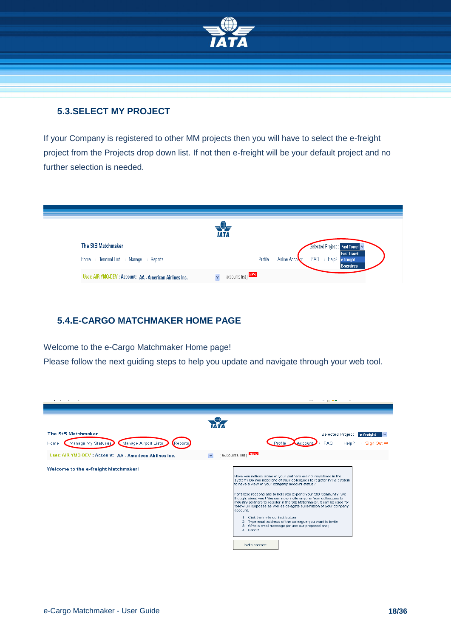

#### <span id="page-17-0"></span>**5.3.SELECT MY PROJECT**

If your Company is registered to other MM projects then you will have to select the e-freight project from the Projects drop down list. If not then e-freight will be your default project and no further selection is needed.



#### <span id="page-17-1"></span>**5.4.E-CARGO MATCHMAKER HOME PAGE**

Welcome to the e-Cargo Matchmaker Home page!

Please follow the next guiding steps to help you update and navigate through your web tool.

| and a state of the state of                                                                                               | .                                                                                                                                                                                                                                                                                                                                                                                                                                                                                                                                                                                                                                                                                         |
|---------------------------------------------------------------------------------------------------------------------------|-------------------------------------------------------------------------------------------------------------------------------------------------------------------------------------------------------------------------------------------------------------------------------------------------------------------------------------------------------------------------------------------------------------------------------------------------------------------------------------------------------------------------------------------------------------------------------------------------------------------------------------------------------------------------------------------|
| The StB Matchmaker                                                                                                        | Selected Project : e-freight                                                                                                                                                                                                                                                                                                                                                                                                                                                                                                                                                                                                                                                              |
| Manage Airport Lists<br>Manage My Statuses<br>Reports<br>Home<br>User: AIR YMQ-DEV : Account: AA - American Airlines Inc. | <b>FAQ</b><br>Profile<br>Sign Out $\Rightarrow$<br>Help?<br>[ accounts list ] NEW                                                                                                                                                                                                                                                                                                                                                                                                                                                                                                                                                                                                         |
| Welcome to the e-freight Matchmaker!                                                                                      | Have you noticed some of your partners are not registered in the<br>system? Do you need one of your colleagues to register in the system<br>to have a view of your company account status?<br>For these reasons and to help you expand your StB Community, we<br>thought about you ! You can now invite anyone from colleagues to<br>industry partners to register in the StB Matchmaker, it can be used for<br>follow up purposes as well as delegate supervision of your company<br>account.<br>1. Click the Invite contact button.<br>2. Type email address of the colleague you want to invite<br>3. Write a small message (or use our prepared one)<br>4. Send II<br>Invite contact: |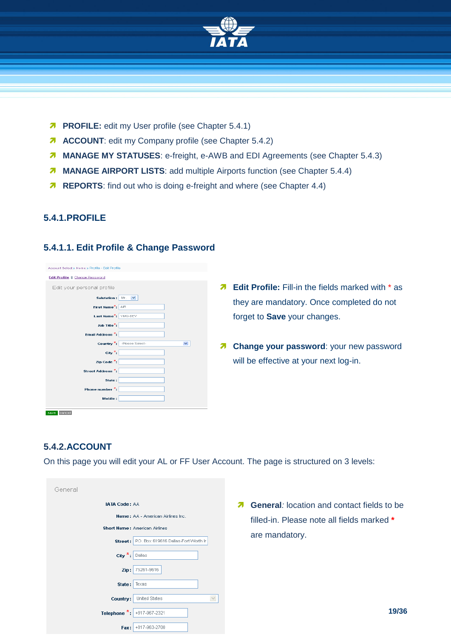

- **PROFILE:** edit my User profile (see Chapter [5.4.1\)](#page-18-0)
- **ACCOUNT:** edit my Company profile (see Chapter [5.4.2\)](#page-18-1)
- **MANAGE MY STATUSES:** e-freight, e-AWB and EDI Agreements (see Chapter [5.4.3\)](#page-20-0)
- **MANAGE AIRPORT LISTS:** add multiple Airports function (see Chapter [5.4.4\)](#page-27-0)
- **REPORTS:** find out who is doing e-freight and where (see Chapter 4.4)

#### <span id="page-18-0"></span>**5.4.1.PROFILE**

#### **5.4.1.1. Edit Profile & Change Password**

| Account Select » Home » Profile - Edit Profile |                                           |
|------------------------------------------------|-------------------------------------------|
| Edit Profile   Change Password                 |                                           |
| Edit your personal profile                     |                                           |
| Salutation:                                    | Mr.<br>$\overline{\mathbf{v}}$            |
| First Name <sup>*</sup> :                      | <b>AIR</b>                                |
| Last Name <sup>*</sup> :                       | YMQ-DEV                                   |
| Job Title <sup>*</sup> :                       |                                           |
| Ernail Address <sup>*</sup> :                  |                                           |
|                                                |                                           |
|                                                | Country *: Please Select-<br>$\checkmark$ |
| City <sup>*</sup> :                            |                                           |
| Zip Code <sup>*</sup> :                        |                                           |
| Street Address <sup>*</sup> :                  |                                           |
| State:                                         |                                           |
| Phone number *:                                |                                           |
| Mobile:                                        |                                           |
|                                                |                                           |

- **A** Edit Profile: Fill-in the fields marked with \* as they are mandatory. Once completed do not forget to **Save** your changes.
- **A** Change your password: your new password will be effective at your next log-in.

#### <span id="page-18-1"></span>**5.4.2.ACCOUNT**

On this page you will edit your AL or FF User Account. The page is structured on 3 levels:

| General                                                                                                                                                                                                                                |                                                                                                                        |
|----------------------------------------------------------------------------------------------------------------------------------------------------------------------------------------------------------------------------------------|------------------------------------------------------------------------------------------------------------------------|
| <b>IATA Code: AA</b><br><b>Name:</b> AA - American Airlines Inc.<br><b>Short Name: American Airlines</b><br>P.O. Box 619616 Dallas-Fort Worth In<br>Street:<br>$\left  \text{City} \right  ^{\star}$ : $\left  \text{ Dallas} \right $ | <b>General:</b> location and contact fields to be<br>Я<br>filled-in. Please note all fields marked *<br>are mandatory. |
| 75261-9616<br>Zip:<br>Texas<br>State:<br>$\vee$<br>United States<br>Country:                                                                                                                                                           |                                                                                                                        |
| Telephone $\frac{1}{n}$ :<br>+817-967-2321<br>Fax: +817-963-2700                                                                                                                                                                       | 19/36                                                                                                                  |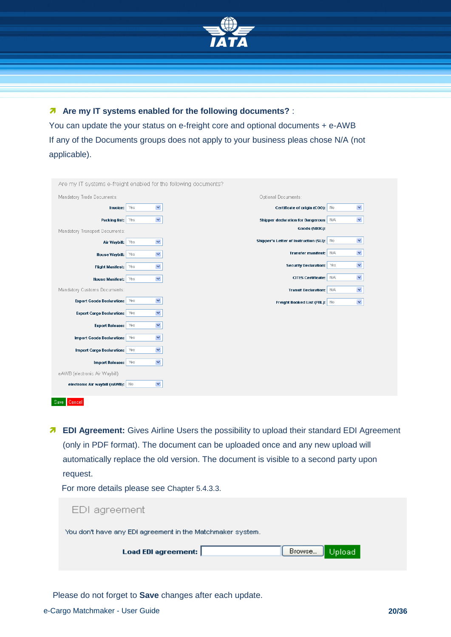

 **Are my IT systems enabled for the following documents?** : You can update the your status on e-freight core and optional documents + e-AWB If any of the Documents groups does not apply to your business pleas chose N/A (not applicable).

| Are my IT systems e-freight enabled for the following documents? |                             |                                           |                     |
|------------------------------------------------------------------|-----------------------------|-------------------------------------------|---------------------|
| Mandatory Trade Documents:                                       |                             | Optional Documents:                       |                     |
| Invoice:                                                         | $\blacktriangledown$<br>Yes | Certificate of origin (COO): No           | $\checkmark$        |
| Packing list: Yes                                                | $\blacktriangledown$        | Shipper declaration for Dangerous N/A     | $\checkmark$        |
| Mandatory Transport Documents:                                   |                             | Goods (SDDG):                             |                     |
| Air Waybill: Yes                                                 | $\checkmark$                | Shipper's Letter of Instruction (SLI): No | $\checkmark$        |
| House Waybill:                                                   | $\checkmark$<br>Yes         | Transfer manifest: N/A                    | $\checkmark$        |
| <b>Flight Manifest:</b>                                          | $\blacktriangledown$<br>Yes | <b>Security Declaration:</b>              | $\checkmark$<br>Yes |
| <b>House Manifest:</b>                                           | $\blacktriangledown$<br>Yes | CITES Certificate: N/A                    | $\checkmark$        |
| Mandatory Customs Documents:                                     |                             | <b>Transit Declaration:</b> N/A           | $\checkmark$        |
| <b>Export Goods Declaration:</b> Yes                             | $\checkmark$                | Freight Booked List (FBL): No             | $\checkmark$        |
| <b>Export Cargo Declaration:</b> Yes                             | $\checkmark$                |                                           |                     |
| <b>Export Release:</b> Yes                                       | $\checkmark$                |                                           |                     |
| <b>Import Goods Declaration:</b> Yes                             | $\blacktriangledown$        |                                           |                     |
| <b>Import Cargo Declaration:</b> Yes                             | $\blacktriangledown$        |                                           |                     |
| <b>Import Release:</b>                                           | $\checkmark$<br>Yes         |                                           |                     |
| eAWB (electronic Air Waybill)                                    |                             |                                           |                     |
|                                                                  |                             |                                           |                     |
| electronic Air waybill (eAWB): No                                | $\checkmark$                |                                           |                     |
| Save<br>Cancel                                                   |                             |                                           |                     |

**A** EDI Agreement: Gives Airline Users the possibility to upload their standard EDI Agreement (only in PDF format). The document can be uploaded once and any new upload will automatically replace the old version. The document is visible to a second party upon request.

For more details please see Chapter [5.4.3.3.](#page-24-0)

| EDI agreement                                              |  |
|------------------------------------------------------------|--|
| You don't have any EDI agreement in the Matchmaker system. |  |
| Browse<br>Load EDI agreement:<br>Upload                    |  |
|                                                            |  |

Please do not forget to **Save** changes after each update.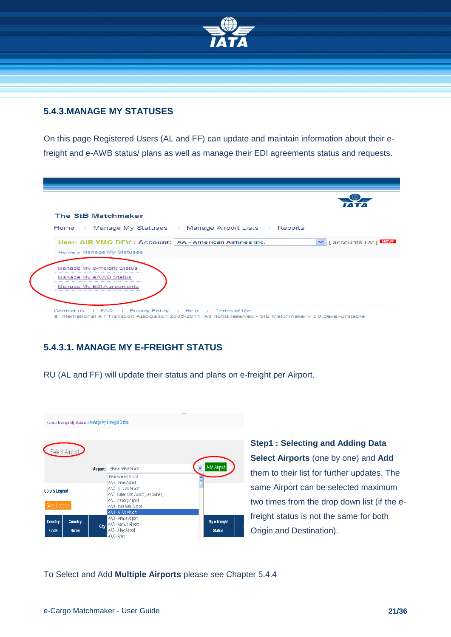

#### <span id="page-20-0"></span>**5.4.3.MANAGE MY STATUSES**

On this page Registered Users (AL and FF) can update and maintain information about their efreight and e-AWB status/ plans as well as manage their EDI agreements status and requests.

| The StB Matchmaker                                                                      |                           |
|-----------------------------------------------------------------------------------------|---------------------------|
| Home : Manage My Statuses : Manage Airport Lists : Reports                              |                           |
| User: AIR YMQ-DEV : Account:   AA - American Airlines Inc.<br>Home » Manage My Statuses | V   [ accounts list ] MEW |
| Manage My e-freight Status<br>Manage My eAWB Status                                     |                           |
| Manage My EDI Agreements                                                                |                           |

#### <span id="page-20-1"></span>**5.4.3.1. MANAGE MY E-FREIGHT STATUS**

RU (AL and FF) will update their status and plans on e-freight per Airport.



**Step1 : Selecting and Adding Data Select Airports** (one by one) and **Add** them to their list for further updates. The same Airport can be selected maximum two times from the drop down list (if the efreight status is not the same for both Origin and Destination).

To Select and Add **Multiple Airports** please see Chapter 5.4.4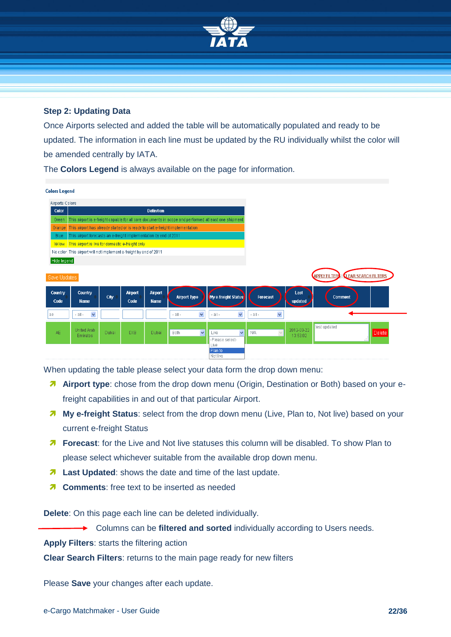

#### **Step 2: Updating Data**

Once Airports selected and added the table will be automatically populated and ready to be updated. The information in each line must be updated by the RU individually whilst the color will be amended centrally by IATA.

The **Colors Legend** is always available on the page for information.

| <b>Colors Legend</b> |                                                                                |       |                 |                        |                             |                                                                                                       |                                 |                        |                                             |
|----------------------|--------------------------------------------------------------------------------|-------|-----------------|------------------------|-----------------------------|-------------------------------------------------------------------------------------------------------|---------------------------------|------------------------|---------------------------------------------|
| Airports Colors      |                                                                                |       |                 |                        |                             |                                                                                                       |                                 |                        |                                             |
| <b>Color</b>         |                                                                                |       |                 | <b>Definition</b>      |                             |                                                                                                       |                                 |                        |                                             |
| Green                |                                                                                |       |                 |                        |                             | This airport is e-freight capable for all core documents in scope and performed at least one shipment |                                 |                        |                                             |
| <b>Orange</b>        | This airport has already started or is ready to start e-freight implementation |       |                 |                        |                             |                                                                                                       |                                 |                        |                                             |
| <b>Blue</b>          | This airport forecasts an e-freight implementation by end of 2011              |       |                 |                        |                             |                                                                                                       |                                 |                        |                                             |
|                      | Yellow   This airport is live for domestic e-freight only                      |       |                 |                        |                             |                                                                                                       |                                 |                        |                                             |
|                      | No color This airport will not implement e-freight by end of 2011              |       |                 |                        |                             |                                                                                                       |                                 |                        |                                             |
| Hide legend          |                                                                                |       |                 |                        |                             |                                                                                                       |                                 |                        |                                             |
| Save Updates         |                                                                                |       |                 |                        |                             |                                                                                                       |                                 |                        | <b>APPLY FILTERS   CLEAR SEARCH FILTERS</b> |
| Country<br>Code      | Country<br><b>Name</b>                                                         | City  | Airport<br>Code | Airport<br><b>Name</b> | <b>Airport Type</b>         | My e-freight Status                                                                                   | Forecast                        | Last<br>updated        | <b>Comment</b>                              |
| ae                   | $\checkmark$<br>$-$ all $-$                                                    |       |                 |                        | Y<br>$-$ all $-$            | $\checkmark$<br>$-$ all $-$                                                                           | $\blacktriangledown$<br>- all - |                        |                                             |
| AE.                  | United Arab<br>Emirates                                                        | Dubai | <b>DXB</b>      | Dubai                  | $\checkmark$<br><b>Both</b> | $\checkmark$<br>Live<br>-Please select-                                                               | $\vee$<br><b>N/A</b>            | 2012-03-22<br>13:53:02 | test updated<br><b>Delete</b>               |
|                      |                                                                                |       |                 |                        |                             | Live<br>Plan to<br>Not live                                                                           |                                 |                        |                                             |

When updating the table please select your data form the drop down menu:

- **A** Airport type: chose from the drop down menu (Origin, Destination or Both) based on your efreight capabilities in and out of that particular Airport.
- **My e-freight Status**: select from the drop down menu (Live, Plan to, Not live) based on your current e-freight Status
- **Forecast**: for the Live and Not live statuses this column will be disabled. To show Plan to please select whichever suitable from the available drop down menu.
- **Last Updated:** shows the date and time of the last update.
- **7** Comments: free text to be inserted as needed

**Delete**: On this page each line can be deleted individually.

Columns can be **filtered and sorted** individually according to Users needs.

**Apply Filters**: starts the filtering action

**Clear Search Filters**: returns to the main page ready for new filters

Please **Save** your changes after each update.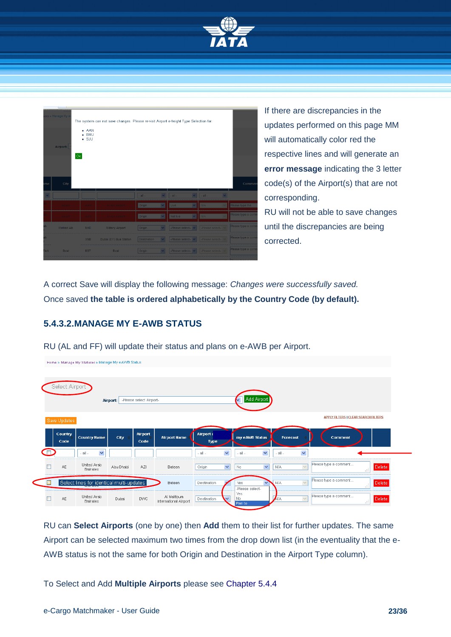

|                 | ses » Manage My e<br>Airport:<br>Ok | $- AAN$<br><b>BRU</b><br>SJU<br>٠ | The system can not save changes. Please re-visit Airport e-freight Type Selection for: |                    |                         |                                                                               |              |                                   |                         |                  |
|-----------------|-------------------------------------|-----------------------------------|----------------------------------------------------------------------------------------|--------------------|-------------------------|-------------------------------------------------------------------------------|--------------|-----------------------------------|-------------------------|------------------|
| ime             | City                                |                                   |                                                                                        |                    |                         |                                                                               |              |                                   |                         | Comm             |
|                 |                                     |                                   |                                                                                        | $-$ all $-$        |                         | $\vee$ -all-                                                                  |              | $\vee$ -all-                      | $\overline{\mathbf{v}}$ |                  |
|                 | All Alin-                           | <b>AAN</b>                        | Al Ain Airport                                                                         | Origin             | $\checkmark$            | Live                                                                          | $\mathbf{v}$ | N/A                               |                         | Please type the  |
|                 | Al Ain                              | <b>AAN</b>                        | Al Ain Airport                                                                         | Origin             | $\overline{\mathbf{v}}$ | Not live                                                                      | $\sim$       | N/A                               |                         | Please type a co |
| Tö.             | Minhad Ab                           | <b>NHD</b>                        | Military Airport                                                                       | Origin             | $\vee$                  |                                                                               |              | -Please select- v -Please select- |                         | Please type a co |
| de.             |                                     | <b>XNB</b>                        | Dubai (EY) Bus Station                                                                 | <b>Destination</b> | $\vee$                  | $\left  \cdot \right $ -Please select- $\left  \cdot \right $ -Please select- |              |                                   |                         | Please type a co |
| AN <sup>-</sup> | Bost                                | <b>BST</b>                        | <b>Bost</b>                                                                            | Origin             | $\mathbf{v}$            | $\left $ -Please select- $\left  \mathbf{v} \right $ -Please select-          |              |                                   |                         | Please type a co |
|                 |                                     |                                   |                                                                                        |                    |                         |                                                                               |              |                                   |                         |                  |

If there are discrepancies in the updates performed on this page MM will automatically color red the respective lines and will generate an **error message** indicating the 3 letter code(s) of the Airport(s) that are not corresponding. RU will not be able to save changes

until the discrepancies are being corrected.

A correct Save will display the following message: *Changes were successfully saved.* Once saved **the table is ordered alphabetically by the Country Code (by default).** 

#### <span id="page-22-0"></span>**5.4.3.2.MANAGE MY E-AWB STATUS**

Home » Manage My Statuses » Manage My eAVVB Status

RU (AL and FF) will update their status and plans on e-AWB per Airport.

|        | Select Airport<br>Save Updates |                                                        | Airport:  | -Please select Airport- |                                      |                          |                           | Add Airport                             |                                    |              | <b>APPLY FILTERS   CLEAR SEARCH FILTERS</b>     |
|--------|--------------------------------|--------------------------------------------------------|-----------|-------------------------|--------------------------------------|--------------------------|---------------------------|-----------------------------------------|------------------------------------|--------------|-------------------------------------------------|
|        | Country<br>Code                | <b>Country Name</b>                                    | City      | Airport<br>Code         | <b>Airport Name</b>                  | Airport e<br><b>Type</b> |                           | my eAWB Status                          | Forecast                           |              | <b>Comment</b>                                  |
|        | AE                             | $\checkmark$<br>$-$ all $-$<br>United Arab<br>Emirates | Abu Dhabi | AZI                     | Bateen                               | $-$ all $-$<br>Origin    | ×<br>$\blacktriangledown$ | $\checkmark$<br>$-$ all $-$<br>×<br>No. | $\checkmark$<br>$-$ all $-$<br>N/A | $\checkmark$ | Please type a comment<br><b>Delete</b><br>w     |
| $\Box$ |                                | Select lines for identical multi-updates               |           |                         | Bateen                               | Destination              |                           | Yes<br>-Please select-                  | N/A                                | $\vee$       | Please type a comment<br>Delete<br>- all        |
|        | AE                             | <b>United Arab</b><br>Emirates                         | Dubai     | <b>DVVC</b>             | Al Maktourn<br>International Airport | Destination              | $\vee$                    | Yes<br>No<br>Plan to                    | AIA.                               | $\vee$       | Please type a comment<br><b>Delete</b><br>- all |

RU can **Select Airports** (one by one) then **Add** them to their list for further updates. The same Airport can be selected maximum two times from the drop down list (in the eventuality that the e-AWB status is not the same for both Origin and Destination in the Airport Type column).

To Select and Add **Multiple Airports** please see Chapter 5.4.4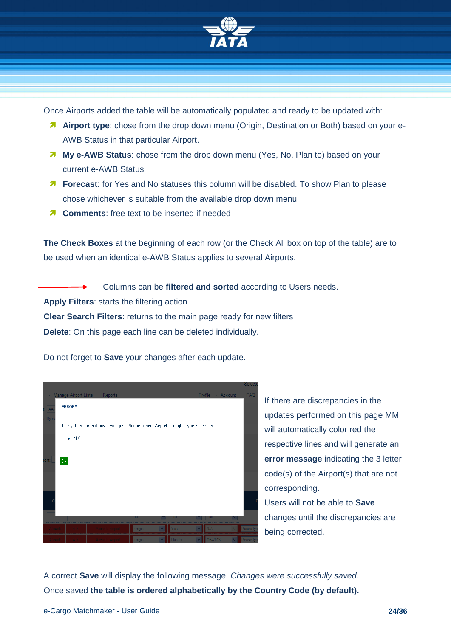

Once Airports added the table will be automatically populated and ready to be updated with:

- **Airport type**: chose from the drop down menu (Origin, Destination or Both) based on your e-AWB Status in that particular Airport.
- **My e-AWB Status**: chose from the drop down menu (Yes, No, Plan to) based on your current e-AWB Status
- *Forecast:* for Yes and No statuses this column will be disabled. To show Plan to please chose whichever is suitable from the available drop down menu.
- $\lambda$  **Comments:** free text to be inserted if needed

**The Check Boxes** at the beginning of each row (or the Check All box on top of the table) are to be used when an identical e-AWB Status applies to several Airports.

Columns can be **filtered and sorted** according to Users needs. **Apply Filters**: starts the filtering action **Clear Search Filters**: returns to the main page ready for new filters

**Delete**: On this page each line can be deleted individually.

Do not forget to **Save** your changes after each update.



If there are discrepancies in the updates performed on this page MM will automatically color red the respective lines and will generate an **error message** indicating the 3 letter code(s) of the Airport(s) that are not corresponding. Users will not be able to **Save**

changes until the discrepancies are being corrected.

A correct **Save** will display the following message: *Changes were successfully saved.* Once saved **the table is ordered alphabetically by the Country Code (by default).**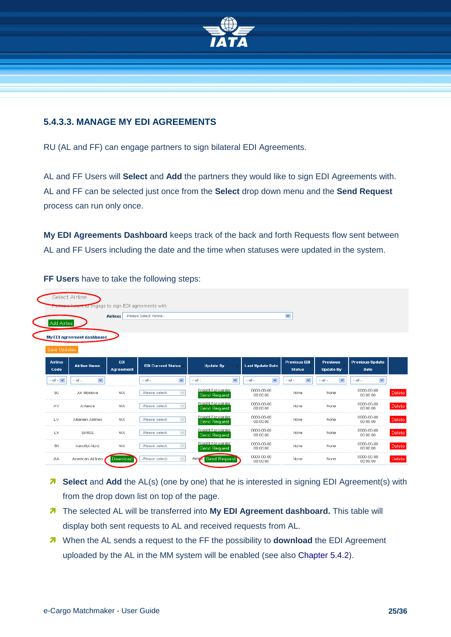

#### <span id="page-24-0"></span>**5.4.3.3. MANAGE MY EDI AGREEMENTS**

RU (AL and FF) can engage partners to sign bilateral EDI Agreements.

AL and FF Users will **Select** and **Add** the partners they would like to sign EDI Agreements with. AL and FF can be selected just once from the **Select** drop down menu and the **Send Request** process can run only once.

**My EDI Agreements Dashboard** keeps track of the back and forth Requests flow sent between AL and FF Users including the date and the time when statuses were updated in the system.

| Add Airline     |                             | Airline:                | -Please Select Airline-         |                                          |                             | $\checkmark$                         |                                     |                                       |
|-----------------|-----------------------------|-------------------------|---------------------------------|------------------------------------------|-----------------------------|--------------------------------------|-------------------------------------|---------------------------------------|
|                 | My EDI agreement dashboard  |                         |                                 |                                          |                             |                                      |                                     |                                       |
| Save Updates    |                             |                         |                                 |                                          |                             |                                      |                                     |                                       |
| Airline<br>Code | <b>Airline Name</b>         | <b>EDI</b><br>Agreement | <b>EDI Current Status</b>       | <b>Update By</b>                         | <b>Last Update Date</b>     | <b>Previous EDI</b><br><b>Status</b> | <b>Previous</b><br><b>Update By</b> | <b>Previous Update</b><br><b>Date</b> |
| $-$ all $ \vee$ | $\checkmark$<br>$-$ all $-$ |                         | $\checkmark$<br>$-$ all $-$     | ×<br>$-$ all $-$                         | $\checkmark$<br>$-$ all $-$ | $\checkmark$<br>$-$ all $-$          | $\checkmark$<br>$-$ all $-$         | $\checkmark$<br>$-$ all $-$           |
| 9U              | Air Moldova                 | N/A                     | $\checkmark$<br>-Please select- | Freight Forwarder<br>Send Request        | 0000-00-00<br>00:00:00      | None                                 | None                                | 0000-00-00<br>00:00:00                |
| AV              | Avianca                     | N/A                     | -Please select-<br>$\checkmark$ | Freight Forwarder<br><b>Send Request</b> | 0000-00-00<br>00:00:00      | None                                 | None                                | 0000-00-00<br>00:00:00                |
| LV.             | Albanian Airlines           | N/A                     | -Please select-<br>$\checkmark$ | Freight Forwarder<br>Send Request        | 0000-00-00<br>00:00:00      | None                                 | None                                | 0000-00-00<br>00:00:00                |
| LX.             | <b>SWISS</b>                | N/A                     | -Please select-                 | Freight Forwarder<br>Send Request        | 0000-00-00<br>00:00:00      | None                                 | None                                | 0000-00-00<br>00:00:00                |
| 5N              | Aeroflot-Nord               | N/A                     | -Please select-                 | Freight Forwarder<br><b>Send Request</b> | 0000-00-00<br>00:00:00      | None                                 | None                                | 0000-00-00<br>00:00:00                |
| AA              | American Airlines           | Download                | -Please select-                 | Airline Send Request                     | 0000-00-00                  | None                                 | None                                | 0000-00-00                            |

**FF Users** have to take the following steps:

- **Belect** and **Add** the AL(s) (one by one) that he is interested in signing EDI Agreement(s) with from the drop down list on top of the page.
- **The selected AL will be transferred into My EDI Agreement dashboard.** This table will display both sent requests to AL and received requests from AL.
- When the AL sends a request to the FF the possibility to **download** the EDI Agreement uploaded by the AL in the MM system will be enabled (see also Chapter 5.4.2).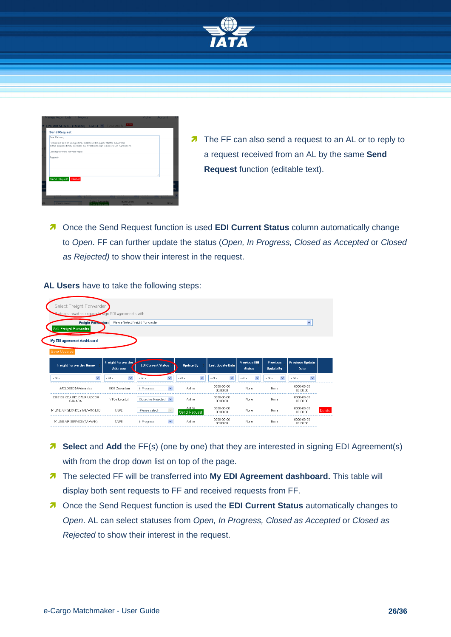

| <b>Send Request</b>             |                                                                                                                                                             |     |  |
|---------------------------------|-------------------------------------------------------------------------------------------------------------------------------------------------------------|-----|--|
| Dear Partner.                   |                                                                                                                                                             |     |  |
|                                 | I would like to start using eAWB instead of the paper Master Airwaybil.<br>To this purpose kindly consider my invitation to sign a bilateral EDI Agreement. |     |  |
| Looking forward for your reply. |                                                                                                                                                             |     |  |
| Regards                         |                                                                                                                                                             |     |  |
|                                 |                                                                                                                                                             |     |  |
|                                 |                                                                                                                                                             |     |  |
|                                 |                                                                                                                                                             |     |  |
|                                 |                                                                                                                                                             | иś. |  |
|                                 |                                                                                                                                                             |     |  |
| Send Request Cancel             |                                                                                                                                                             |     |  |
|                                 |                                                                                                                                                             |     |  |

- The FF can also send a request to an AL or to reply to a request received from an AL by the same **Send Request** function (editable text).
- Once the Send Request function is used **EDI Current Status** column automatically change to *Open*. FF can further update the status (*Open, In Progress, Closed as Accepted* or *Closed as Rejected)* to show their interest in the request.

| Select Freight Forwarder                                                                                   |                                            |                                        |                                        |                                        |                                      |                                     |                                |               |
|------------------------------------------------------------------------------------------------------------|--------------------------------------------|----------------------------------------|----------------------------------------|----------------------------------------|--------------------------------------|-------------------------------------|--------------------------------|---------------|
| <b>Redners</b> I want to engage to sign EDI agreements with<br>Freight Forwarder:<br>Add Freight Forwarder | -Please Select Freight Forwarder-          |                                        |                                        |                                        |                                      |                                     | $\checkmark$                   |               |
| My EDI agreement dashboard<br>Save Updates                                                                 |                                            |                                        |                                        |                                        |                                      |                                     |                                |               |
| <b>Freight Forwarder Name</b>                                                                              | <b>Freight Forwarder</b><br><b>Address</b> | <b>EDI Current Status</b>              | <b>Update By</b>                       | <b>Last Update Date</b>                | <b>Previous EDI</b><br><b>Status</b> | <b>Previous</b><br><b>Update By</b> | <b>Previous Update</b><br>Date |               |
| ×<br>$-$ all $-$                                                                                           | $\checkmark$<br>$-$ all $-$                | $\overline{\mathbf{v}}$<br>$-$ all $-$ | $\overline{\mathbf{v}}$<br>$-$ all $-$ | $\overline{\mathbf{v}}$<br>$-$ all $-$ | $\checkmark$<br>$-$ all $-$          | $\checkmark$<br>$-$ all $-$         | $\checkmark$<br>$-$ all $-$    |               |
| ##CLOSED##Adelantex                                                                                        | 1931 Zaventem                              | $\overline{\mathbf{v}}$<br>In Progress | Airline                                | 0000-00-00<br>nn:nn:nn                 | None                                 | None.                               | 0000-00-00<br>00:00:00         |               |
| 6365132 CDA INC, D/B/A/ ADCOM<br>CANADA                                                                    | YTO (Toronto)                              | $\checkmark$<br>Closed as Rejected     | Airline                                | 0000-00-00<br>nn:nn:nn                 | None                                 | None                                | 0000-00-00<br>00:00:00         |               |
| "K" LINE AIR SERVICE (TAMVAN) LTD                                                                          | TAIPFI                                     | -Please select-                        | Airline<br><b>Send Request</b>         | 0000-00-00<br>nn:nn:nn                 | None                                 | None.                               | 0000-00-00<br>nn:nn:nn         | <b>Delete</b> |
| "K" LINE AIR SERVICE (TAMVAN)                                                                              | TAIPFI                                     | $\overline{\mathbf{v}}$<br>In Progress | Airline                                | 0000-00-00<br>00:00:00                 | None                                 | None.                               | 0000-00-00<br>00:00:00         |               |

**AL Users** have to take the following steps:

- **Belect** and **Add** the FF(s) (one by one) that they are interested in signing EDI Agreement(s) with from the drop down list on top of the page.
- **7** The selected FF will be transferred into My EDI Agreement dashboard. This table will display both sent requests to FF and received requests from FF.
- **7** Once the Send Request function is used the **EDI Current Status** automatically changes to *Open*. AL can select statuses from *Open, In Progress, Closed as Accepted* or *Closed as Rejected* to show their interest in the request.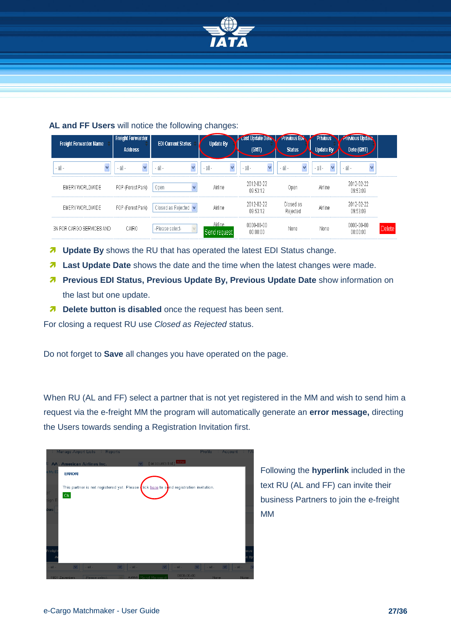

#### **AL and FF Users** will notice the following changes:

| <b>Freight Forwarder Name</b> | <b>Freight Forwarder</b><br><b>Address</b> | <b>EDI Current Status</b>   | <b>Update By</b>                  | <b>Last Update Date</b><br>(GMT) | <b>Previous ED</b><br><b>Status</b> | <b>Privious</b><br>Update By | <b>Previous Update</b><br>Date (GMT) |        |
|-------------------------------|--------------------------------------------|-----------------------------|-----------------------------------|----------------------------------|-------------------------------------|------------------------------|--------------------------------------|--------|
| $-$ all $-$<br>v              | $-$ all $-$<br>v                           | $-$ all $-$<br>$\checkmark$ | $\bar{\mathbf{v}}$<br>$-$ all $-$ | $\checkmark$<br>- all -          | $-$ all $-$<br>v                    | $-$ all $-$<br>v             | $-$ all $-$<br>v                     |        |
| EMERY WORLDWIDE               | FOP (Forest Park)                          | Open                        | Airline                           | 2012-02-22<br>09:53:12           | Open                                | Airline                      | 2012-02-22<br>09:53:09               |        |
| EMERY WORLDWIDE               | FOP (Forest Park)                          | Closed as Rejected v        | Airline                           | 2012-02-22<br>09:53:12           | Closed as<br>Rejected               | Airline                      | 2012-02-22<br>09:53:09               |        |
| 3N FOR CARGO SERVICES AND     | CAIRO                                      | -Please select-             | Airline<br>Send request           | 0000-00-00<br>00:00:00           | None                                | None                         | 0000-00-00<br>00:00:00               | Delete |

- *T* Update By shows the RU that has operated the latest EDI Status change.
- **Last Update Date** shows the date and the time when the latest changes were made.
- **Previous EDI Status, Previous Update By, Previous Update Date** show information on the last but one update.
- *Delete button is disabled* once the request has been sent.

For closing a request RU use *Closed as Rejected* status.

Do not forget to **Save** all changes you have operated on the page.

When RU (AL and FF) select a partner that is not yet registered in the MM and wish to send him a request via the e-freight MM the program will automatically generate an **error message,** directing the Users towards sending a Registration Invitation first.

|             | Manage Airport Lists : Reports |                                                                                                     |              |                             |                      |             | <b>Protile</b>              | Account |                 | <b>FA</b> |
|-------------|--------------------------------|-----------------------------------------------------------------------------------------------------|--------------|-----------------------------|----------------------|-------------|-----------------------------|---------|-----------------|-----------|
|             | AA - American Airlines Inc.    |                                                                                                     |              | $\mathbf{v}$                | [ accounts list] NEW |             |                             |         |                 |           |
| My El       | <b>ERROR!</b>                  |                                                                                                     |              |                             |                      |             |                             |         |                 |           |
|             |                                | This partner is not registered yet. Please $\frac{1}{2}$ lick here to sond registration invitation. |              |                             |                      |             |                             |         |                 |           |
|             | Ok                             |                                                                                                     |              |                             |                      |             |                             |         |                 |           |
| tign B      |                                |                                                                                                     |              |                             |                      |             |                             |         |                 |           |
| der:        |                                |                                                                                                     |              |                             |                      |             |                             |         |                 |           |
|             |                                |                                                                                                     |              |                             |                      |             |                             |         |                 |           |
|             |                                |                                                                                                     |              |                             |                      |             |                             |         |                 |           |
|             |                                |                                                                                                     |              |                             |                      |             |                             |         |                 |           |
| reigh       |                                |                                                                                                     |              |                             |                      |             |                             |         |                 | ous       |
|             |                                |                                                                                                     |              |                             |                      |             |                             |         |                 | e By      |
| $-$ all $-$ | $\sim$                         | $-$ all $-$                                                                                         | $\mathbf{v}$ | $-$ all $-$                 | $\sim$               | $-$ all $-$ | $-$ all $-$<br>$\mathbf{v}$ | $\vee$  | $\vert$ - all - |           |
|             | 1931 Zaventem                  | -Please select-                                                                                     |              | <b>Airlina</b> Sand Request |                      | 0000-00-00  |                             | None:   | None:           |           |

Following the **hyperlink** included in the text RU (AL and FF) can invite their business Partners to join the e-freight MM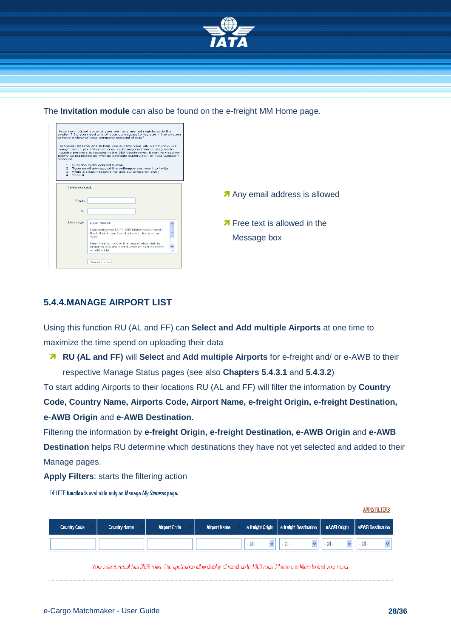

The **Invitation module** can also be found on the e-freight MM Home page.

| Have you noticed some of your partners are not registered in the<br>system? Do you need one of your colleagues to register in the system<br>to have a view of your company account status?<br>For these reasons and to help you expand your StB Community, we<br>thought about you I You can now invite anyone from colleagues to<br>industry partners to register in the StB Matchmaker, it can be used for<br>follow up purposes as well as delegate supervision of your company<br>account.<br>1. Click the Invite contact button<br>2. Type email address of the colleague you want to invite<br>3. Write a small message (or use our prepared one)<br>4 Send II |                                                     |
|----------------------------------------------------------------------------------------------------------------------------------------------------------------------------------------------------------------------------------------------------------------------------------------------------------------------------------------------------------------------------------------------------------------------------------------------------------------------------------------------------------------------------------------------------------------------------------------------------------------------------------------------------------------------|-----------------------------------------------------|
| Invite contact:<br>From:                                                                                                                                                                                                                                                                                                                                                                                                                                                                                                                                                                                                                                             | Any email address is allowed                        |
| To:<br>Message:<br>Dear friend,<br>I am using the IATA StB Matchmaker and I<br>think that it can be of interest for you as<br>well.<br>Feel free to follow the registration link in<br>order to join the community of StB experts<br>worldwide.<br>. . i<br>Send invite                                                                                                                                                                                                                                                                                                                                                                                              | <b>7</b> Free text is allowed in the<br>Message box |

#### <span id="page-27-0"></span>**5.4.4.MANAGE AIRPORT LIST**

Using this function RU (AL and FF) can **Select and Add multiple Airports** at one time to maximize the time spend on uploading their data

 **RU (AL and FF)** will **Select** and **Add multiple Airports** for e-freight and/ or e-AWB to their respective Manage Status pages (see also **Chapters [5.4.3.1](#page-20-1)** and **[5.4.3.2](#page-22-0)**)

To start adding Airports to their locations RU (AL and FF) will filter the information by **Country Code, Country Name, Airports Code, Airport Name, e-freight Origin, e-freight Destination, e-AWB Origin** and **e-AWB Destination.**

Filtering the information by **e-freight Origin, e-freight Destination, e-AWB Origin** and **e-AWB Destination** helps RU determine which destinations they have not yet selected and added to their Manage pages.

**Apply Filters**: starts the filtering action

DELETE function is available only on Manage My Statuses page.

| <b>Country Code</b> | <b>Country Name</b> | <b>Airport Code</b> | <b>Airport Name</b> | e-freight Origin | e-freight Destination | eAWB Origin | eAWB Destination |
|---------------------|---------------------|---------------------|---------------------|------------------|-----------------------|-------------|------------------|
|                     |                     |                     |                     | - all-           | - all                 |             | - all            |

Your search result has 9338 rows. The application allow display of result up to 1000 rows. Please use filters to limit your result.

**APPLY FILTERS**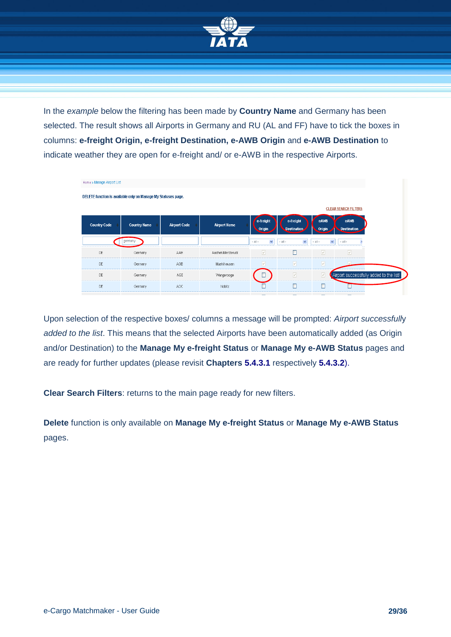

In the *example* below the filtering has been made by **Country Name** and Germany has been selected. The result shows all Airports in Germany and RU (AL and FF) have to tick the boxes in columns: **e-freight Origin, e-freight Destination, e-AWB Origin** and **e-AWB Destination** to indicate weather they are open for e-freight and/ or e-AWB in the respective Airports.

| Home » Manage Airport List |                                                               |                     |                     |                             |                                 |                             |                                         |  |
|----------------------------|---------------------------------------------------------------|---------------------|---------------------|-----------------------------|---------------------------------|-----------------------------|-----------------------------------------|--|
|                            | DELETE function is available only on Manage My Statuses page. |                     |                     |                             |                                 |                             |                                         |  |
|                            |                                                               |                     |                     |                             |                                 |                             | <b>CLEAR SEARCH FILTERS</b>             |  |
| <b>Country Code</b>        | <b>Country Name</b>                                           | <b>Airport Code</b> | <b>Airport Name</b> | e-freight<br>Origin         | e-freight<br><b>Destination</b> | eAWB<br>Origin              | eAWB<br><b>Destination</b>              |  |
|                            | germany                                                       |                     |                     | $\checkmark$<br>$-$ all $-$ | $\checkmark$<br>$-$ all $-$     | $\checkmark$<br>$-$ all $-$ | $-$ all $-$                             |  |
| DE                         | Germany                                                       | AAH                 | Aachen/Merzbruck    | V                           | г                               | M                           | ⊻                                       |  |
| DE                         | Germany                                                       | AGB                 | Muehlhausen         | M                           | $\boxed{\vee}$                  | $\boxed{\vee}$              |                                         |  |
| DE                         | Germany                                                       | AGE                 | Wangerooge          |                             | $\boxed{\vee}$                  | $\overline{\vee}$           | Airport successfully added to the list! |  |
| DE                         | Germany                                                       | AOC                 | Nobitz              |                             | П                               | □                           |                                         |  |
|                            |                                                               |                     |                     |                             |                                 |                             |                                         |  |

Upon selection of the respective boxes/ columns a message will be prompted: *Airport successfull*y *added to the list*. This means that the selected Airports have been automatically added (as Origin and/or Destination) to the **Manage My e-freight Status** or **Manage My e-AWB Status** pages and are ready for further updates (please revisit **Chapters [5.4.3.1](#page-20-1)** respectively **5.4.3.2**).

**Clear Search Filters**: returns to the main page ready for new filters.

**Delete** function is only available on **Manage My e-freight Status** or **Manage My e-AWB Status** pages.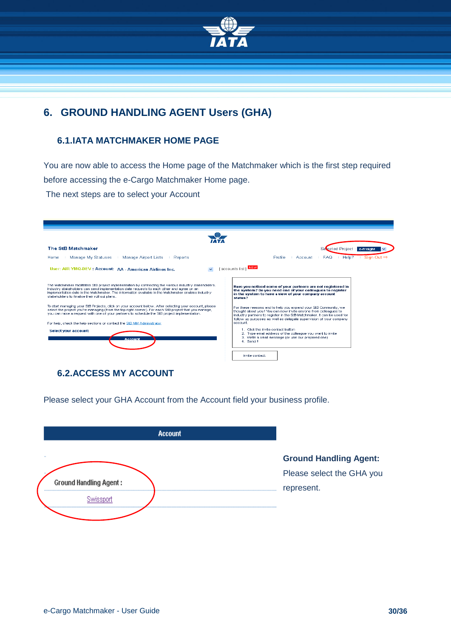

# <span id="page-29-0"></span>**6. GROUND HANDLING AGENT Users (GHA)**

#### <span id="page-29-1"></span>**6.1.IATA MATCHMAKER HOME PAGE**

You are now able to access the Home page of the Matchmaker which is the first step required before accessing the e-Cargo Matchmaker Home page.

The next steps are to select your Account

| <b>The StB Matchmaker</b>                                                                                                                                                                                                                                                                                                                                    | Sevected Project: e-freight                                                                                                                                                                                                                                                          |
|--------------------------------------------------------------------------------------------------------------------------------------------------------------------------------------------------------------------------------------------------------------------------------------------------------------------------------------------------------------|--------------------------------------------------------------------------------------------------------------------------------------------------------------------------------------------------------------------------------------------------------------------------------------|
| Manage My Statuses<br>Manage Airport Lists<br>Home<br>Reports                                                                                                                                                                                                                                                                                                | Sign Out $\Rightarrow$<br>Help?<br><b>Profile</b><br><b>FAQ</b><br>Account                                                                                                                                                                                                           |
| User: AIR YMQ-DEV: Account: AA - American Airlines Inc.<br>$\checkmark$                                                                                                                                                                                                                                                                                      | [ accounts list ] NEW                                                                                                                                                                                                                                                                |
|                                                                                                                                                                                                                                                                                                                                                              |                                                                                                                                                                                                                                                                                      |
| The Matchmaker facilitates StB project implementation by connecting the various industry stakeholders.<br>Industry stakeholders can send implementation date requests to each other and agree on an<br>implementation date in the Matchmaker. The information available in the Matchmaker enables industry<br>stakeholders to finalise their roll out plans. | Have you noticed some of your partners are not registered in<br>the system? Do you need one of your colleagues to register<br>in the system to have a view of your company account<br>status?                                                                                        |
| To start managing your StB Projects, click on your account below. After selecting your account, please<br>select the project you're managing (from the top right corner). For each StB project that you manage,<br>you can raise a request with one of your partners to schedule the StB project implementation.                                             | For these reasons and to help you expand your StB Community, we<br>thought about you ! You can now invite anyone from colleagues to<br>industry partners to register in the StB Matchmaker, it can be used for<br>follow up purposes as well as delegate supervision of your company |
| For help, check the help sections or contact the StB MM Administrator                                                                                                                                                                                                                                                                                        | account.                                                                                                                                                                                                                                                                             |
| Select your account:<br><b>Account</b>                                                                                                                                                                                                                                                                                                                       | 1. Click the Invite contact button.<br>2. Type email address of the colleague you want to invite<br>3. Write a small message (or use our prepared one).<br>4. Send II                                                                                                                |
|                                                                                                                                                                                                                                                                                                                                                              | Invite contact:                                                                                                                                                                                                                                                                      |

#### <span id="page-29-2"></span>**6.2.ACCESS MY ACCOUNT**

Please select your GHA Account from the Account field your business profile.

| <b>Account</b>                                |                                                                          |
|-----------------------------------------------|--------------------------------------------------------------------------|
| $\cdots$<br><b>Ground Handling Agent:</b><br> | <b>Ground Handling Agent:</b><br>Please select the GHA you<br>represent. |
|                                               |                                                                          |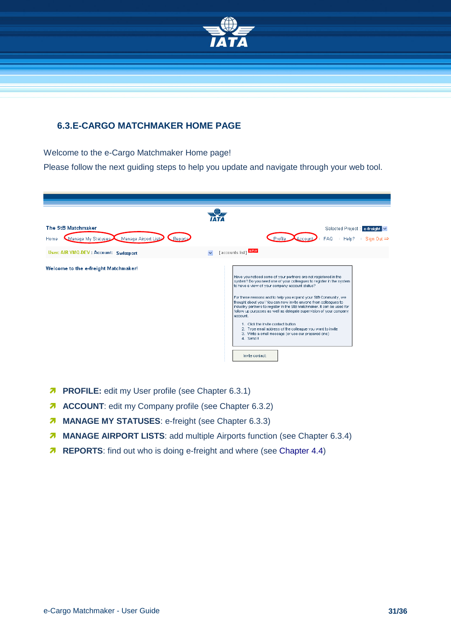

#### <span id="page-30-0"></span>**6.3.E-CARGO MATCHMAKER HOME PAGE**

Welcome to the e-Cargo Matchmaker Home page!

Please follow the next guiding steps to help you update and navigate through your web tool.

| The StB Matchmaker                                         | Selected Project : e-freight                                                                                                                                                                                                                                                                                                                                                                                                                                                                                                                                                                                                                                                              |
|------------------------------------------------------------|-------------------------------------------------------------------------------------------------------------------------------------------------------------------------------------------------------------------------------------------------------------------------------------------------------------------------------------------------------------------------------------------------------------------------------------------------------------------------------------------------------------------------------------------------------------------------------------------------------------------------------------------------------------------------------------------|
| Manage My Statuses Manage Airport Lists<br>Reports<br>Home | Profile<br><b>FAQ</b><br>Help?<br>Sign Out $\Rightarrow$<br>Accour                                                                                                                                                                                                                                                                                                                                                                                                                                                                                                                                                                                                                        |
| User: AIR YMQ-DEV : Account: Swissport                     | [accounts list] NEW                                                                                                                                                                                                                                                                                                                                                                                                                                                                                                                                                                                                                                                                       |
| Welcome to the e-freight Matchmaker!                       | Have you noticed some of your partners are not registered in the<br>system? Do you need one of your colleagues to register in the system<br>to have a view of your company account status?<br>For these reasons and to help you expand your StB Community, we<br>thought about you ! You can now invite anyone from colleagues to<br>industry partners to register in the StB Matchmaker. It can be used for<br>follow up purposes as well as delegate supervision of your company<br>account.<br>1. Click the Invite contact button.<br>2. Type email address of the colleague you want to invite<br>3. Write a small message (or use our prepared one)<br>4. Send II<br>Invite contact: |

- **PROFILE:** edit my User profile (see Chapter [6.3.1\)](#page-31-0)
- **ACCOUNT:** edit my Company profile (see Chapter [6.3.2\)](#page-31-1)
- **MANAGE MY STATUSES:** e-freight (see Chapter [6.3.3\)](#page-33-0)
- **MANAGE AIRPORT LISTS:** add multiple Airports function (see Chapter [6.3.4\)](#page-35-0)
- **REPORTS:** find out who is doing e-freight and where (see Chapter 4.4)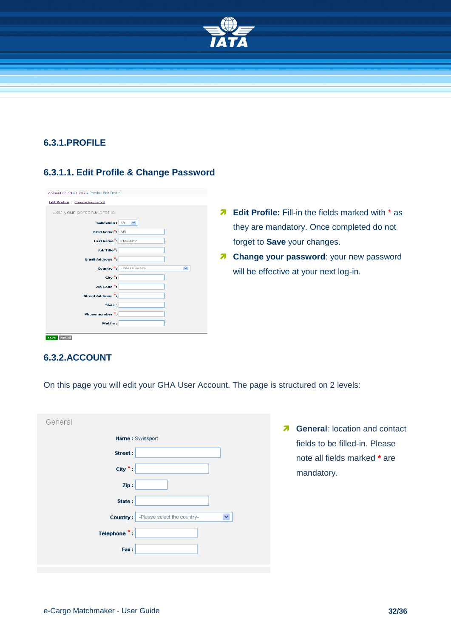

#### <span id="page-31-0"></span>**6.3.1.PROFILE**

#### **6.3.1.1. Edit Profile & Change Password**

| Account Select » Home » Profile - Edit Profile |                           |
|------------------------------------------------|---------------------------|
| Edit Profile    Change Password                |                           |
| Edit your personal profile                     |                           |
| Salutation:                                    | Mr. $\blacktriangledown$  |
| First Name <sup>*</sup> : AR                   |                           |
| Last Name <sup>*</sup> : YMQ-DEV               |                           |
| Job Title <sup>*</sup> :                       |                           |
| Ernail Address <sup>*</sup> :                  |                           |
|                                                |                           |
|                                                | Country *: Please Select- |
| City <sup>*</sup> :                            |                           |
| Zip Code $\stackrel{\star}{\cdot}$ :           |                           |
| Street Address <sup>*</sup> :                  |                           |
| State:                                         |                           |
| Phone number *:                                |                           |
| Mobile:                                        |                           |
| cancel<br>save                                 |                           |

- **A** Edit Profile: Fill-in the fields marked with \* as they are mandatory. Once completed do not forget to **Save** your changes.
- **7 Change your password:** your new password will be effective at your next log-in.

#### <span id="page-31-1"></span>**6.3.2.ACCOUNT**

On this page you will edit your GHA User Account. The page is structured on 2 levels:

| General                              |                             |
|--------------------------------------|-----------------------------|
|                                      | <b>Name: Swissport</b>      |
| Street:                              |                             |
| City $\pi$ :                         |                             |
| Zip:                                 |                             |
| State:                               |                             |
| Country:                             | -Please select the country- |
| Telephone $\overline{\phantom{a}}$ : |                             |
| Fax:                                 |                             |
|                                      |                             |

**A** General: location and contact fields to be filled-in. Please note all fields marked **\*** are mandatory.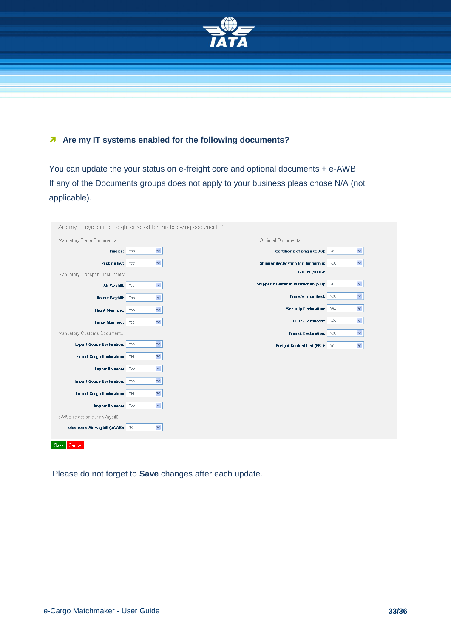

#### **A** Are my IT systems enabled for the following documents?

You can update the your status on e-freight core and optional documents + e-AWB If any of the Documents groups does not apply to your business pleas chose N/A (not applicable).

| Are my IT systems e-freight enabled for the following documents? |                             |                                           |                             |  |
|------------------------------------------------------------------|-----------------------------|-------------------------------------------|-----------------------------|--|
| Mandatory Trade Documents:                                       |                             | Optional Documents:                       |                             |  |
| Invoice:                                                         | $\checkmark$<br>Yes         | Certificate of origin (COO): No           | $\checkmark$                |  |
| Packing list:                                                    | $\blacktriangledown$<br>Yes | <b>Shipper declaration for Dangerous</b>  | $\checkmark$<br>N/A         |  |
| Mandatory Transport Documents:                                   |                             | Goods (SDDG):                             |                             |  |
| Air Waybill:                                                     | $\blacktriangledown$<br>Yes | Shipper's Letter of Instruction (SLI): No | $\blacktriangledown$        |  |
| <b>House Waybill:</b>                                            | $\checkmark$<br>Yes         | Transfer manifest: N/A                    | $\checkmark$                |  |
| <b>Flight Manifest:</b>                                          | $\checkmark$<br>Yes         | <b>Security Declaration:</b>              | $\blacktriangledown$<br>Yes |  |
| <b>House Manifest:</b>                                           | $\blacktriangledown$<br>Yes | <b>CITES Certificate:</b>                 | $\checkmark$<br>N/A         |  |
| Mandatory Customs Documents:                                     |                             | <b>Transit Declaration:</b>               | $\checkmark$<br>N/A         |  |
| <b>Export Goods Declaration:</b>                                 | $\checkmark$<br>Yes         | Freight Booked List (FBL): No             | $\checkmark$                |  |
| <b>Export Cargo Declaration:</b>                                 | M<br>Yes                    |                                           |                             |  |
| <b>Export Release:</b>                                           | $\blacktriangledown$<br>Yes |                                           |                             |  |
| <b>Import Goods Declaration:</b>                                 | $\checkmark$<br>Yes         |                                           |                             |  |
| <b>Import Cargo Declaration:</b>                                 | ×<br>Yes                    |                                           |                             |  |
|                                                                  |                             |                                           |                             |  |
| <b>Import Release:</b>                                           | $\checkmark$<br>Yes         |                                           |                             |  |
| eAWB (electronic Air Waybill)                                    |                             |                                           |                             |  |
| electronic Air waybill (eAWB): No                                | $\blacktriangledown$        |                                           |                             |  |
| Save Cancel                                                      |                             |                                           |                             |  |

Please do not forget to **Save** changes after each update.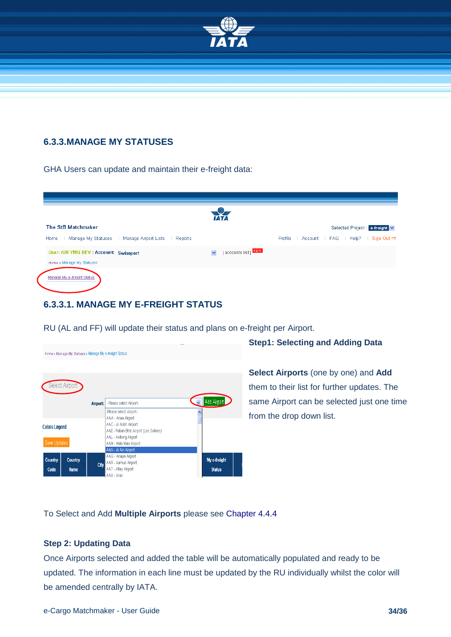

#### <span id="page-33-0"></span>**6.3.3.MANAGE MY STATUSES**

GHA Users can update and maintain their e-freight data:

|                                                             | <i><b>IATA</b></i>   |                                                           |
|-------------------------------------------------------------|----------------------|-----------------------------------------------------------|
| The StB Matchmaker                                          |                      | Selected Project : e-freight                              |
| Manage My Statuses   Manage Airport Lists   Reports<br>Home |                      | Account : FAQ : Help? : Sign Out $\Rightarrow$<br>Profile |
| User: AIR YMQ-DEV : Account: Swissport                      | [ accounts list] NEW |                                                           |
| Home » Manage My Statuses                                   |                      |                                                           |
| Manage My e-freight Status                                  |                      |                                                           |

#### <span id="page-33-1"></span>**6.3.3.1. MANAGE MY E-FREIGHT STATUS**



RU (AL and FF) will update their status and plans on e-freight per Airport.

**Step1: Selecting and Adding Data**

**Select Airports** (one by one) and **Add** them to their list for further updates. The same Airport can be selected just one time from the drop down list.

To Select and Add **Multiple Airports** please see [Chapter 4.4.4](#page-35-0)

#### **Step 2: Updating Data**

Once Airports selected and added the table will be automatically populated and ready to be updated. The information in each line must be updated by the RU individually whilst the color will be amended centrally by IATA.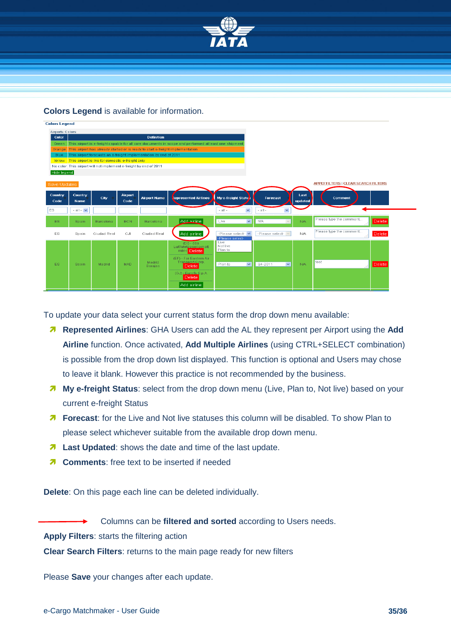

**Colors Legend** is available for information.

| <b>Colors Legend</b> |                        |                                                                                                                       |                        |                                                                                |                                                                                                       |                                    |                             |                 |                                             |               |
|----------------------|------------------------|-----------------------------------------------------------------------------------------------------------------------|------------------------|--------------------------------------------------------------------------------|-------------------------------------------------------------------------------------------------------|------------------------------------|-----------------------------|-----------------|---------------------------------------------|---------------|
| Airports Colors      |                        |                                                                                                                       |                        |                                                                                |                                                                                                       |                                    |                             |                 |                                             |               |
| Color                |                        |                                                                                                                       |                        | <b>Definition</b>                                                              |                                                                                                       |                                    |                             |                 |                                             |               |
| Green                |                        |                                                                                                                       |                        |                                                                                | This airport is e-freight capable for all core documents in scope and performed at least one shipment |                                    |                             |                 |                                             |               |
| Orange               |                        |                                                                                                                       |                        | This airport has already started or is ready to start e-freight implementation |                                                                                                       |                                    |                             |                 |                                             |               |
| Blue                 |                        |                                                                                                                       |                        | This airport forecasts an e-freight implementation by end of 2011              |                                                                                                       |                                    |                             |                 |                                             |               |
| Yellow               |                        | This airport is live for domestic e-freight only<br>No color This airport will not implement e-freight by end of 2011 |                        |                                                                                |                                                                                                       |                                    |                             |                 |                                             |               |
| Hide legend          |                        |                                                                                                                       |                        |                                                                                |                                                                                                       |                                    |                             |                 |                                             |               |
|                      |                        |                                                                                                                       |                        |                                                                                |                                                                                                       |                                    |                             |                 |                                             |               |
| Save Updates         |                        |                                                                                                                       |                        |                                                                                |                                                                                                       |                                    |                             |                 | <b>APPLY FILTERS   CLEAR SEARCH FILTERS</b> |               |
|                      |                        |                                                                                                                       |                        |                                                                                |                                                                                                       |                                    |                             |                 |                                             |               |
| Country<br>Code      | Country<br><b>Name</b> | City                                                                                                                  | <b>Airport</b><br>Code | <b>Airport Name</b>                                                            | <b>Represented Airlines</b>                                                                           | My e-freight Statu                 | <b>Forecast</b>             | Last<br>updated | <b>Comment</b>                              |               |
| ES.                  | $-$ all $ \vee$        |                                                                                                                       |                        |                                                                                |                                                                                                       | $\checkmark$<br>$-$ all $-$        | $\checkmark$<br>$-$ all $-$ |                 |                                             |               |
| ES.                  | Spain                  | <b>Barcelona</b>                                                                                                      | <b>BCN</b>             | <b>Barcelona</b>                                                               | Add airline                                                                                           | $\checkmark$<br>Live               | N/A<br>$\checkmark$         | N/A             | Please type the comment                     | <b>Delete</b> |
| ES.                  | Spain                  | Ciudad Real                                                                                                           | CJI                    | Ciudad Real                                                                    | Add airline                                                                                           | -Please select-<br>-Please select- | -Please select-<br>$\sim$   | N/A             | Please type the comment<br>-11              | Delete        |
|                      |                        |                                                                                                                       |                        |                                                                                | $(DD - dba$<br>Luftfahrtgesellschaft<br>mbH Delete                                                    | Live<br>Not live<br>Plan to        |                             |                 |                                             |               |
| ES.                  | Spain                  | Madrid                                                                                                                | MAD.                   | Madrid<br><b>Barajas</b>                                                       | (EF) - Far Eastern Air<br>Transport Corp.<br>Delete                                                   | Plan to<br>$\checkmark$            | $Q4 - 2011$<br>$\checkmark$ | N/A             | test                                        | Delete        |
|                      |                        |                                                                                                                       |                        |                                                                                | (GJ) - Eurofly S.p.A.<br>Delete                                                                       |                                    |                             |                 |                                             |               |
|                      |                        |                                                                                                                       |                        |                                                                                | Add airline                                                                                           |                                    |                             |                 |                                             |               |

To update your data select your current status form the drop down menu available:

- **Represented Airlines**: GHA Users can add the AL they represent per Airport using the **Add Airline** function. Once activated, **Add Multiple Airlines** (using CTRL+SELECT combination) is possible from the drop down list displayed. This function is optional and Users may chose to leave it blank. However this practice is not recommended by the business.
- **My e-freight Status**: select from the drop down menu (Live, Plan to, Not live) based on your current e-freight Status
- **Forecast**: for the Live and Not live statuses this column will be disabled. To show Plan to please select whichever suitable from the available drop down menu.
- **A** Last Updated: shows the date and time of the last update.
- **Z** Comments: free text to be inserted if needed

**Delete**: On this page each line can be deleted individually.

Columns can be **filtered and sorted** according to Users needs.

**Apply Filters**: starts the filtering action

**Clear Search Filters**: returns to the main page ready for new filters

Please **Save** your changes after each update.